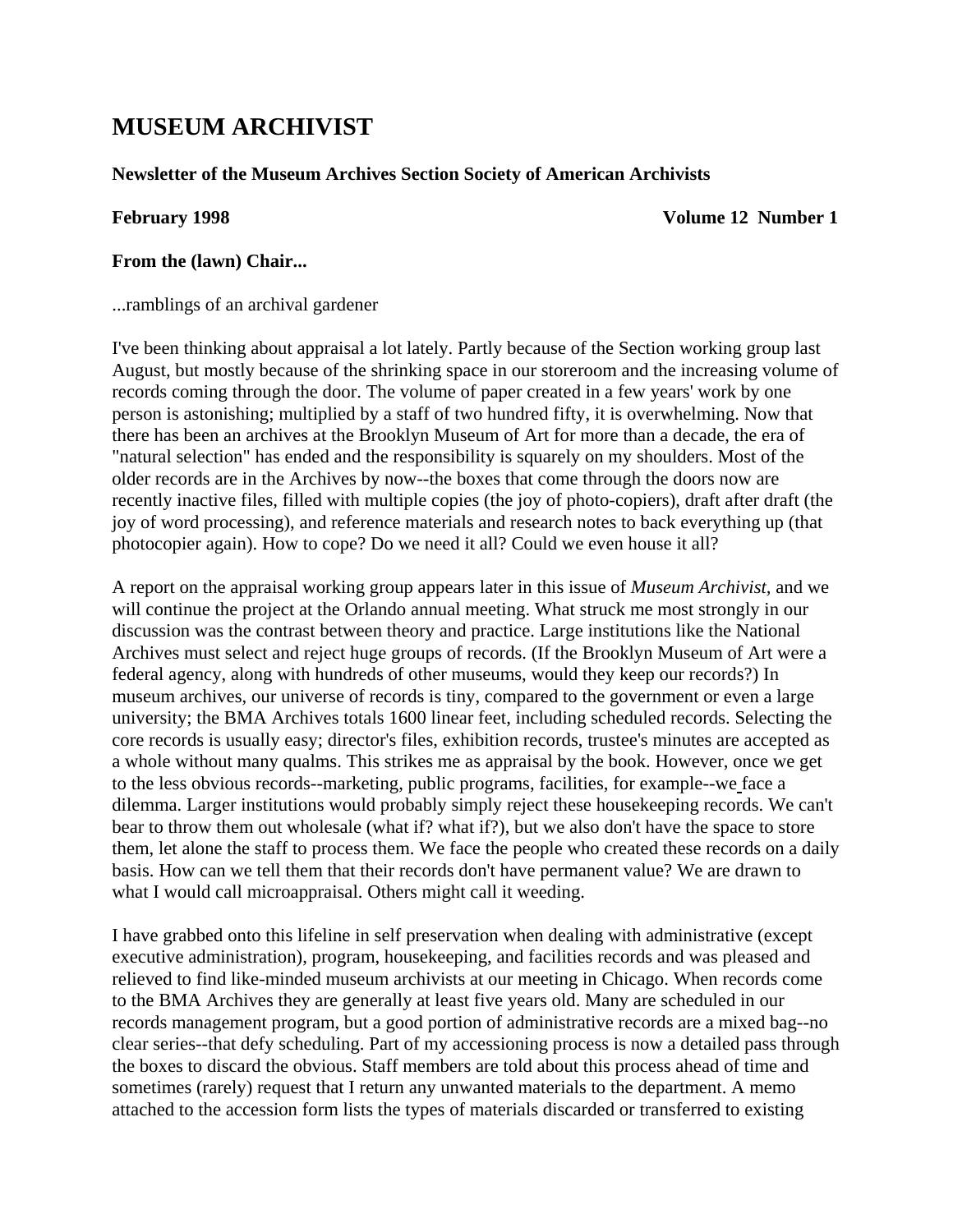# **MUSEUM ARCHIVIST**

#### **Newsletter of the Museum Archives Section Society of American Archivists**

**February 1998** Volume 12 Number 1

#### **From the (lawn) Chair...**

...ramblings of an archival gardener

I've been thinking about appraisal a lot lately. Partly because of the Section working group last August, but mostly because of the shrinking space in our storeroom and the increasing volume of records coming through the door. The volume of paper created in a few years' work by one person is astonishing; multiplied by a staff of two hundred fifty, it is overwhelming. Now that there has been an archives at the Brooklyn Museum of Art for more than a decade, the era of "natural selection" has ended and the responsibility is squarely on my shoulders. Most of the older records are in the Archives by now--the boxes that come through the doors now are recently inactive files, filled with multiple copies (the joy of photo-copiers), draft after draft (the joy of word processing), and reference materials and research notes to back everything up (that photocopier again). How to cope? Do we need it all? Could we even house it all?

A report on the appraisal working group appears later in this issue of *Museum Archivist,* and we will continue the project at the Orlando annual meeting. What struck me most strongly in our discussion was the contrast between theory and practice. Large institutions like the National Archives must select and reject huge groups of records. (If the Brooklyn Museum of Art were a federal agency, along with hundreds of other museums, would they keep our records?) In museum archives, our universe of records is tiny, compared to the government or even a large university; the BMA Archives totals 1600 linear feet, including scheduled records. Selecting the core records is usually easy; director's files, exhibition records, trustee's minutes are accepted as a whole without many qualms. This strikes me as appraisal by the book. However, once we get to the less obvious records--marketing, public programs, facilities, for example--we face a dilemma. Larger institutions would probably simply reject these housekeeping records. We can't bear to throw them out wholesale (what if? what if?), but we also don't have the space to store them, let alone the staff to process them. We face the people who created these records on a daily basis. How can we tell them that their records don't have permanent value? We are drawn to what I would call microappraisal. Others might call it weeding.

I have grabbed onto this lifeline in self preservation when dealing with administrative (except executive administration), program, housekeeping, and facilities records and was pleased and relieved to find like-minded museum archivists at our meeting in Chicago. When records come to the BMA Archives they are generally at least five years old. Many are scheduled in our records management program, but a good portion of administrative records are a mixed bag--no clear series--that defy scheduling. Part of my accessioning process is now a detailed pass through the boxes to discard the obvious. Staff members are told about this process ahead of time and sometimes (rarely) request that I return any unwanted materials to the department. A memo attached to the accession form lists the types of materials discarded or transferred to existing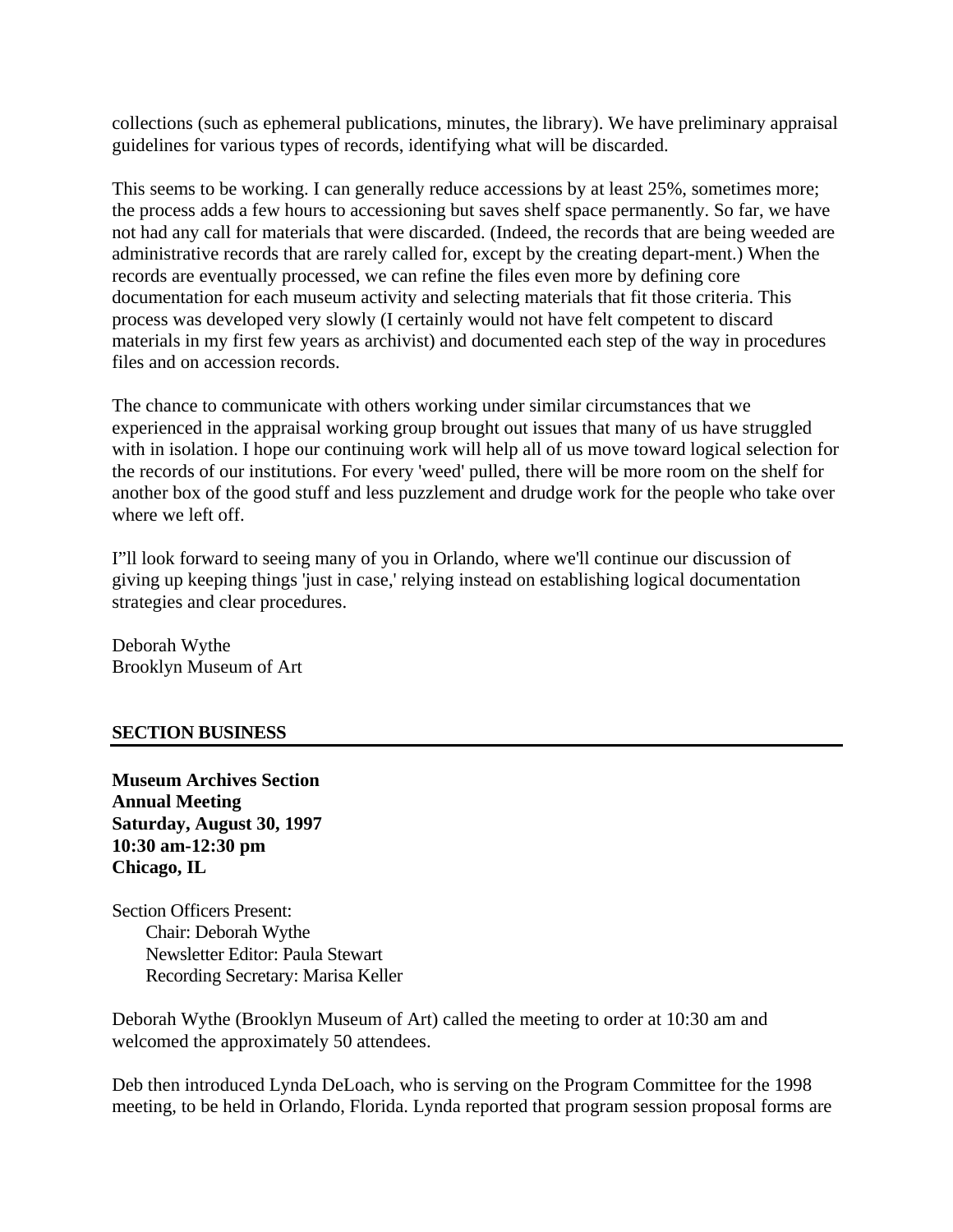collections (such as ephemeral publications, minutes, the library). We have preliminary appraisal guidelines for various types of records, identifying what will be discarded.

This seems to be working. I can generally reduce accessions by at least 25%, sometimes more; the process adds a few hours to accessioning but saves shelf space permanently. So far, we have not had any call for materials that were discarded. (Indeed, the records that are being weeded are administrative records that are rarely called for, except by the creating depart-ment.) When the records are eventually processed, we can refine the files even more by defining core documentation for each museum activity and selecting materials that fit those criteria. This process was developed very slowly (I certainly would not have felt competent to discard materials in my first few years as archivist) and documented each step of the way in procedures files and on accession records.

The chance to communicate with others working under similar circumstances that we experienced in the appraisal working group brought out issues that many of us have struggled with in isolation. I hope our continuing work will help all of us move toward logical selection for the records of our institutions. For every 'weed' pulled, there will be more room on the shelf for another box of the good stuff and less puzzlement and drudge work for the people who take over where we left off.

I"ll look forward to seeing many of you in Orlando, where we'll continue our discussion of giving up keeping things 'just in case,' relying instead on establishing logical documentation strategies and clear procedures.

Deborah Wythe Brooklyn Museum of Art

#### **SECTION BUSINESS**

**Museum Archives Section Annual Meeting Saturday, August 30, 1997 10:30 am-12:30 pm Chicago, IL** 

Section Officers Present: Chair: Deborah Wythe Newsletter Editor: Paula Stewart Recording Secretary: Marisa Keller

Deborah Wythe (Brooklyn Museum of Art) called the meeting to order at 10:30 am and welcomed the approximately 50 attendees.

Deb then introduced Lynda DeLoach, who is serving on the Program Committee for the 1998 meeting, to be held in Orlando, Florida. Lynda reported that program session proposal forms are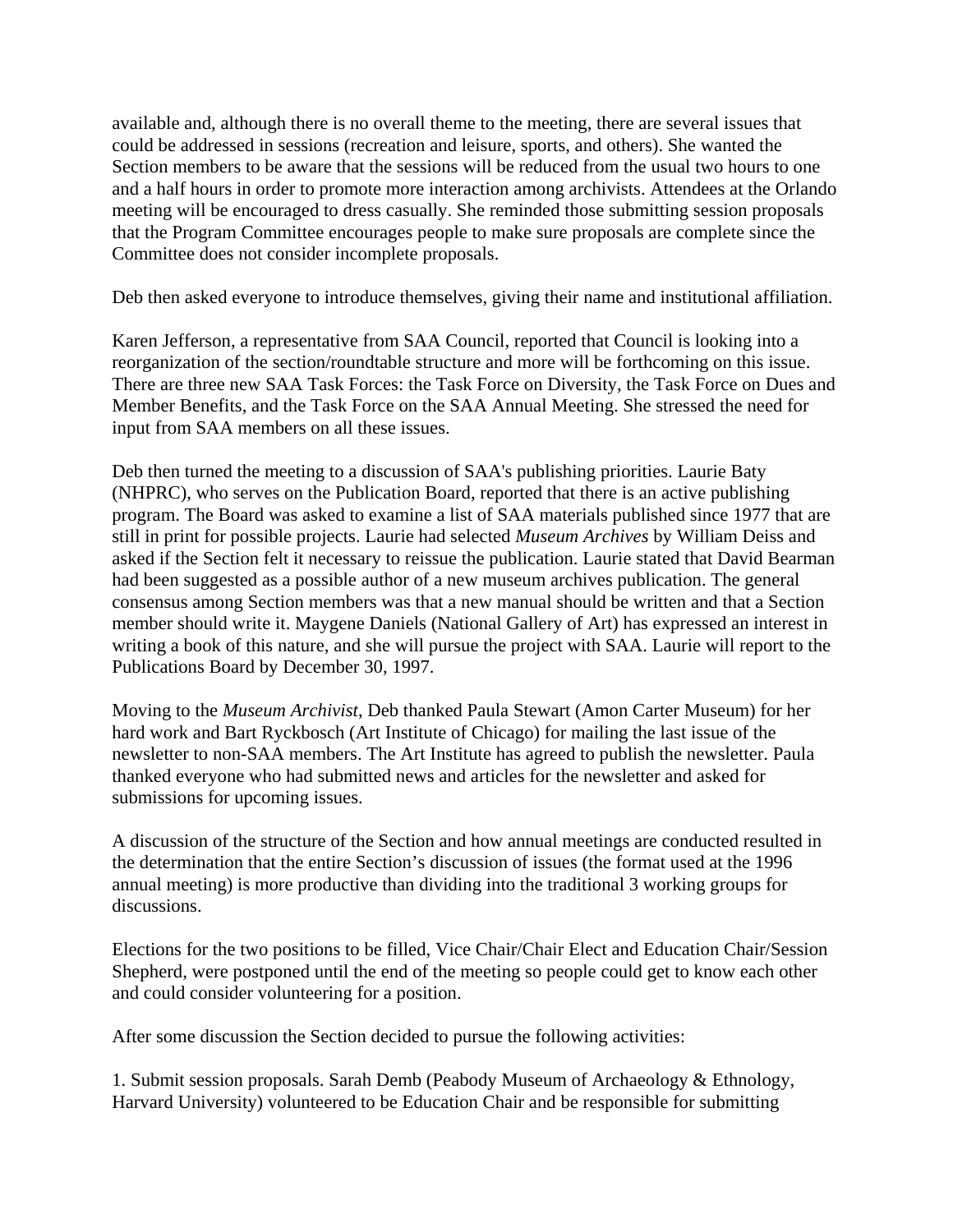available and, although there is no overall theme to the meeting, there are several issues that could be addressed in sessions (recreation and leisure, sports, and others). She wanted the Section members to be aware that the sessions will be reduced from the usual two hours to one and a half hours in order to promote more interaction among archivists. Attendees at the Orlando meeting will be encouraged to dress casually. She reminded those submitting session proposals that the Program Committee encourages people to make sure proposals are complete since the Committee does not consider incomplete proposals.

Deb then asked everyone to introduce themselves, giving their name and institutional affiliation.

Karen Jefferson, a representative from SAA Council, reported that Council is looking into a reorganization of the section/roundtable structure and more will be forthcoming on this issue. There are three new SAA Task Forces: the Task Force on Diversity, the Task Force on Dues and Member Benefits, and the Task Force on the SAA Annual Meeting. She stressed the need for input from SAA members on all these issues.

Deb then turned the meeting to a discussion of SAA's publishing priorities. Laurie Baty (NHPRC), who serves on the Publication Board, reported that there is an active publishing program. The Board was asked to examine a list of SAA materials published since 1977 that are still in print for possible projects. Laurie had selected *Museum Archives* by William Deiss and asked if the Section felt it necessary to reissue the publication. Laurie stated that David Bearman had been suggested as a possible author of a new museum archives publication. The general consensus among Section members was that a new manual should be written and that a Section member should write it. Maygene Daniels (National Gallery of Art) has expressed an interest in writing a book of this nature, and she will pursue the project with SAA. Laurie will report to the Publications Board by December 30, 1997.

Moving to the *Museum Archivist*, Deb thanked Paula Stewart (Amon Carter Museum) for her hard work and Bart Ryckbosch (Art Institute of Chicago) for mailing the last issue of the newsletter to non-SAA members. The Art Institute has agreed to publish the newsletter. Paula thanked everyone who had submitted news and articles for the newsletter and asked for submissions for upcoming issues.

A discussion of the structure of the Section and how annual meetings are conducted resulted in the determination that the entire Section's discussion of issues (the format used at the 1996 annual meeting) is more productive than dividing into the traditional 3 working groups for discussions.

Elections for the two positions to be filled, Vice Chair/Chair Elect and Education Chair/Session Shepherd, were postponed until the end of the meeting so people could get to know each other and could consider volunteering for a position.

After some discussion the Section decided to pursue the following activities:

1. Submit session proposals. Sarah Demb (Peabody Museum of Archaeology & Ethnology, Harvard University) volunteered to be Education Chair and be responsible for submitting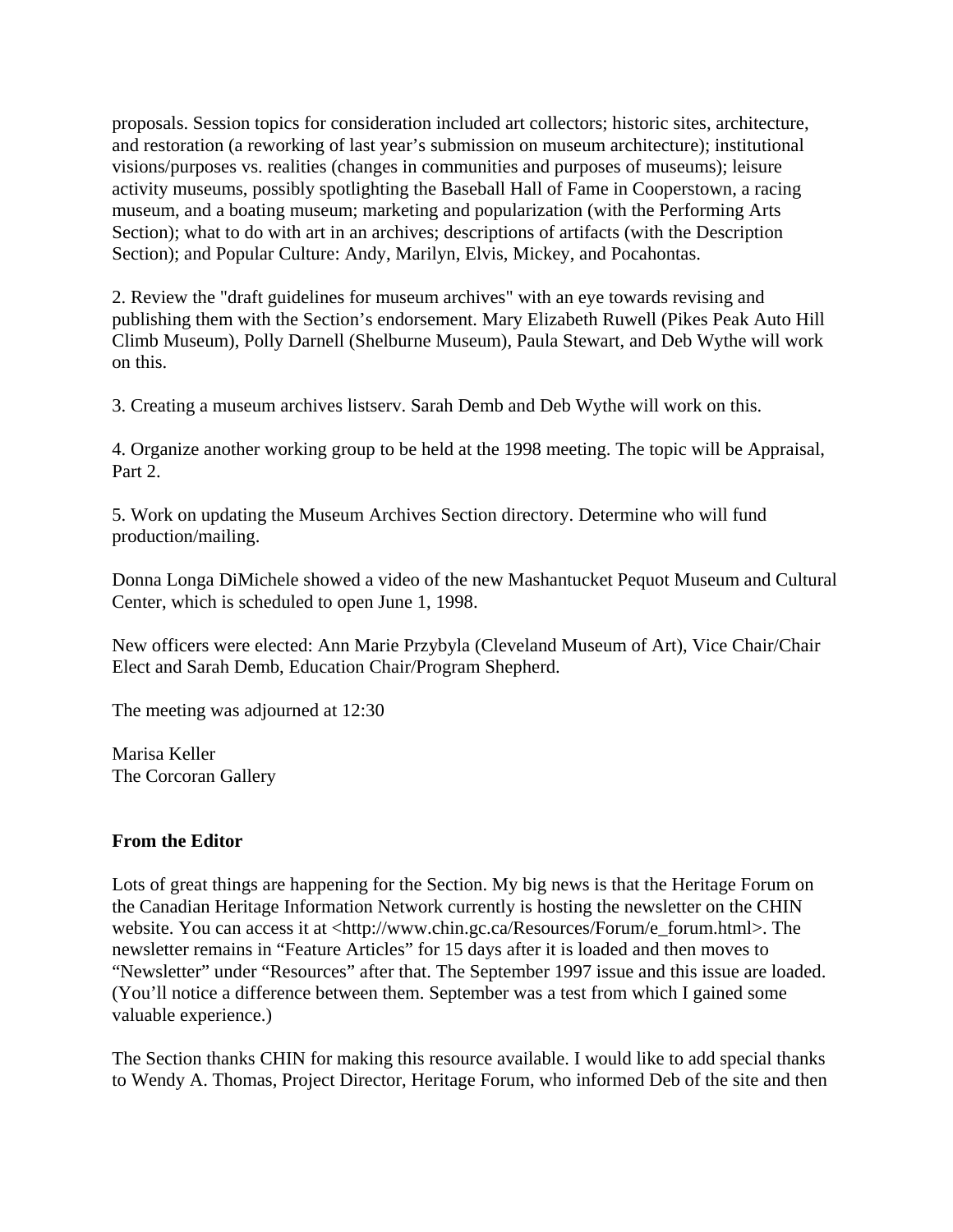proposals. Session topics for consideration included art collectors; historic sites, architecture, and restoration (a reworking of last year's submission on museum architecture); institutional visions/purposes vs. realities (changes in communities and purposes of museums); leisure activity museums, possibly spotlighting the Baseball Hall of Fame in Cooperstown, a racing museum, and a boating museum; marketing and popularization (with the Performing Arts Section); what to do with art in an archives; descriptions of artifacts (with the Description Section); and Popular Culture: Andy, Marilyn, Elvis, Mickey, and Pocahontas.

2. Review the "draft guidelines for museum archives" with an eye towards revising and publishing them with the Section's endorsement. Mary Elizabeth Ruwell (Pikes Peak Auto Hill Climb Museum), Polly Darnell (Shelburne Museum), Paula Stewart, and Deb Wythe will work on this.

3. Creating a museum archives listserv. Sarah Demb and Deb Wythe will work on this.

4. Organize another working group to be held at the 1998 meeting. The topic will be Appraisal, Part 2.

5. Work on updating the Museum Archives Section directory. Determine who will fund production/mailing.

Donna Longa DiMichele showed a video of the new Mashantucket Pequot Museum and Cultural Center, which is scheduled to open June 1, 1998.

New officers were elected: Ann Marie Przybyla (Cleveland Museum of Art), Vice Chair/Chair Elect and Sarah Demb, Education Chair/Program Shepherd.

The meeting was adjourned at 12:30

Marisa Keller The Corcoran Gallery

#### **From the Editor**

Lots of great things are happening for the Section. My big news is that the Heritage Forum on the Canadian Heritage Information Network currently is hosting the newsletter on the CHIN website. You can access it at <http://www.chin.gc.ca/Resources/Forum/e\_forum.html>. The newsletter remains in "Feature Articles" for 15 days after it is loaded and then moves to "Newsletter" under "Resources" after that. The September 1997 issue and this issue are loaded. (You'll notice a difference between them. September was a test from which I gained some valuable experience.)

The Section thanks CHIN for making this resource available. I would like to add special thanks to Wendy A. Thomas, Project Director, Heritage Forum, who informed Deb of the site and then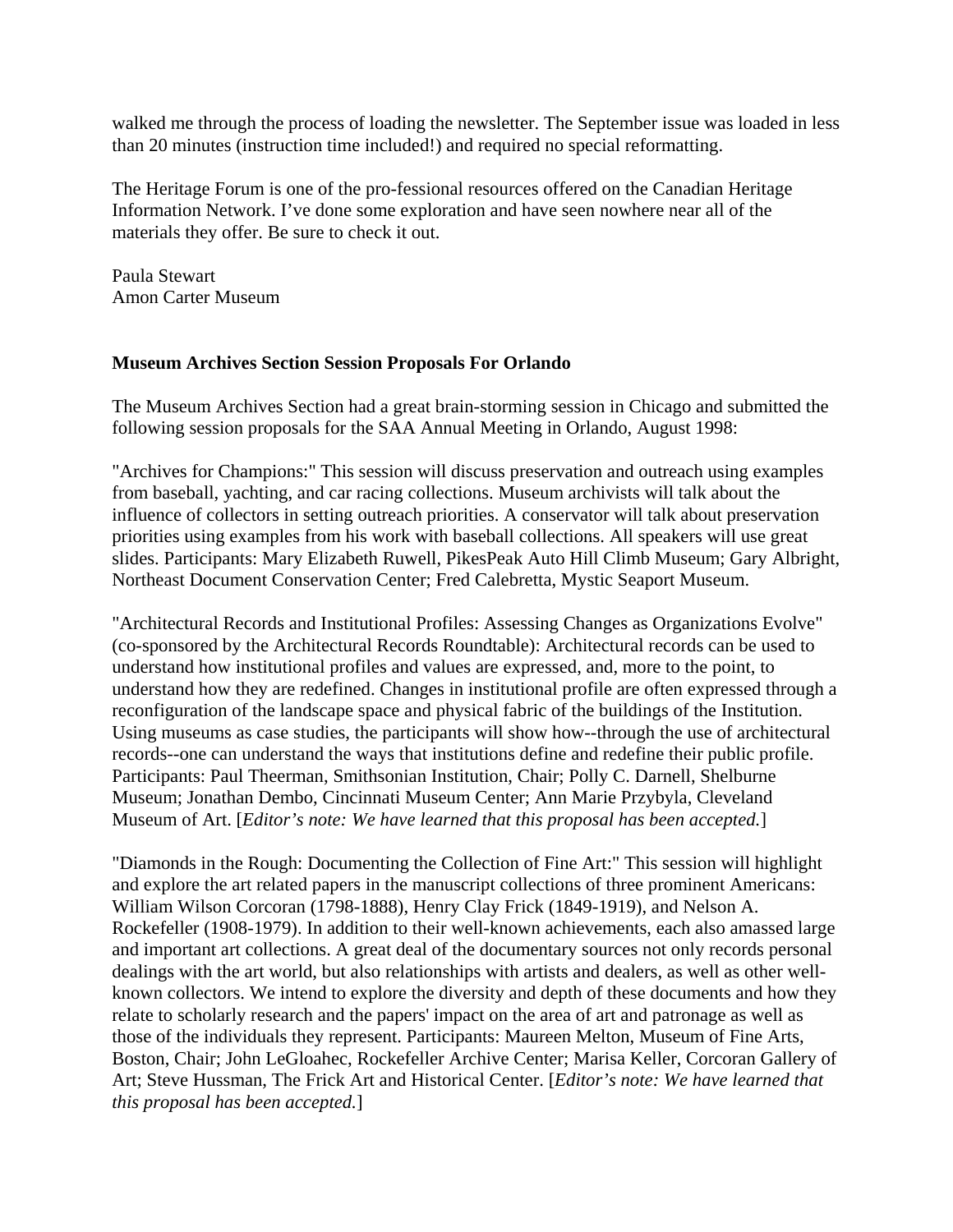walked me through the process of loading the newsletter. The September issue was loaded in less than 20 minutes (instruction time included!) and required no special reformatting.

The Heritage Forum is one of the pro-fessional resources offered on the Canadian Heritage Information Network. I've done some exploration and have seen nowhere near all of the materials they offer. Be sure to check it out.

Paula Stewart Amon Carter Museum

#### **Museum Archives Section Session Proposals For Orlando**

The Museum Archives Section had a great brain-storming session in Chicago and submitted the following session proposals for the SAA Annual Meeting in Orlando, August 1998:

"Archives for Champions:" This session will discuss preservation and outreach using examples from baseball, yachting, and car racing collections. Museum archivists will talk about the influence of collectors in setting outreach priorities. A conservator will talk about preservation priorities using examples from his work with baseball collections. All speakers will use great slides. Participants: Mary Elizabeth Ruwell, PikesPeak Auto Hill Climb Museum; Gary Albright, Northeast Document Conservation Center; Fred Calebretta, Mystic Seaport Museum.

"Architectural Records and Institutional Profiles: Assessing Changes as Organizations Evolve" (co-sponsored by the Architectural Records Roundtable): Architectural records can be used to understand how institutional profiles and values are expressed, and, more to the point, to understand how they are redefined. Changes in institutional profile are often expressed through a reconfiguration of the landscape space and physical fabric of the buildings of the Institution. Using museums as case studies, the participants will show how--through the use of architectural records--one can understand the ways that institutions define and redefine their public profile. Participants: Paul Theerman, Smithsonian Institution, Chair; Polly C. Darnell, Shelburne Museum; Jonathan Dembo, Cincinnati Museum Center; Ann Marie Przybyla, Cleveland Museum of Art. [*Editor's note: We have learned that this proposal has been accepted.*]

"Diamonds in the Rough: Documenting the Collection of Fine Art:" This session will highlight and explore the art related papers in the manuscript collections of three prominent Americans: William Wilson Corcoran (1798-1888), Henry Clay Frick (1849-1919), and Nelson A. Rockefeller (1908-1979). In addition to their well-known achievements, each also amassed large and important art collections. A great deal of the documentary sources not only records personal dealings with the art world, but also relationships with artists and dealers, as well as other wellknown collectors. We intend to explore the diversity and depth of these documents and how they relate to scholarly research and the papers' impact on the area of art and patronage as well as those of the individuals they represent. Participants: Maureen Melton, Museum of Fine Arts, Boston, Chair; John LeGloahec, Rockefeller Archive Center; Marisa Keller, Corcoran Gallery of Art; Steve Hussman, The Frick Art and Historical Center. [*Editor's note: We have learned that this proposal has been accepted.*]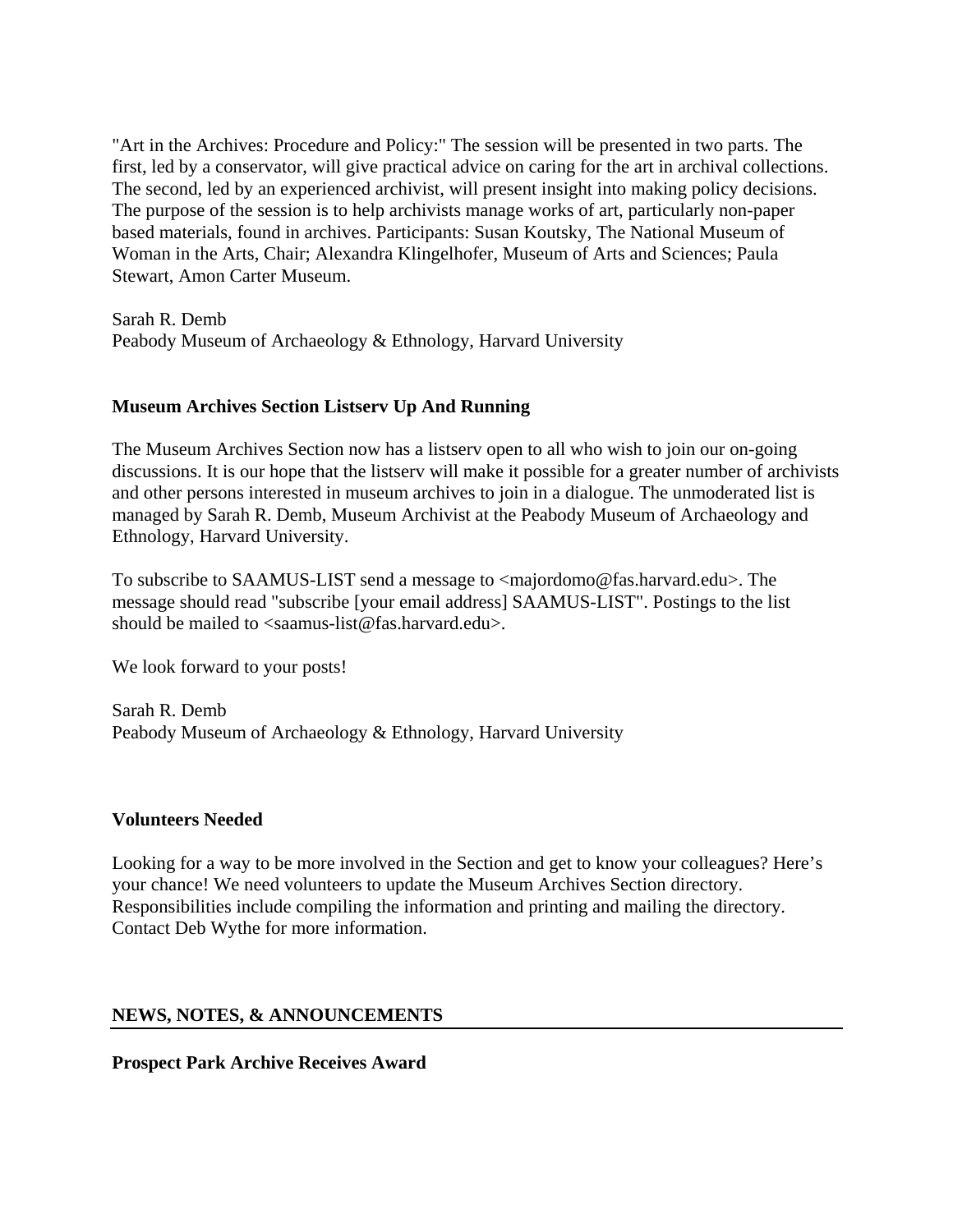"Art in the Archives: Procedure and Policy:" The session will be presented in two parts. The first, led by a conservator, will give practical advice on caring for the art in archival collections. The second, led by an experienced archivist, will present insight into making policy decisions. The purpose of the session is to help archivists manage works of art, particularly non-paper based materials, found in archives. Participants: Susan Koutsky, The National Museum of Woman in the Arts, Chair; Alexandra Klingelhofer, Museum of Arts and Sciences; Paula Stewart, Amon Carter Museum.

Sarah R. Demb Peabody Museum of Archaeology & Ethnology, Harvard University

# **Museum Archives Section Listserv Up And Running**

The Museum Archives Section now has a listserv open to all who wish to join our on-going discussions. It is our hope that the listserv will make it possible for a greater number of archivists and other persons interested in museum archives to join in a dialogue. The unmoderated list is managed by Sarah R. Demb, Museum Archivist at the Peabody Museum of Archaeology and Ethnology, Harvard University.

To subscribe to SAAMUS-LIST send a message to <majordomo@fas.harvard.edu>. The message should read "subscribe [your email address] SAAMUS-LIST". Postings to the list should be mailed to <saamus-list@fas.harvard.edu>.

We look forward to your posts!

Sarah R. Demb Peabody Museum of Archaeology & Ethnology, Harvard University

#### **Volunteers Needed**

Looking for a way to be more involved in the Section and get to know your colleagues? Here's your chance! We need volunteers to update the Museum Archives Section directory. Responsibilities include compiling the information and printing and mailing the directory. Contact Deb Wythe for more information.

# **NEWS, NOTES, & ANNOUNCEMENTS**

**Prospect Park Archive Receives Award**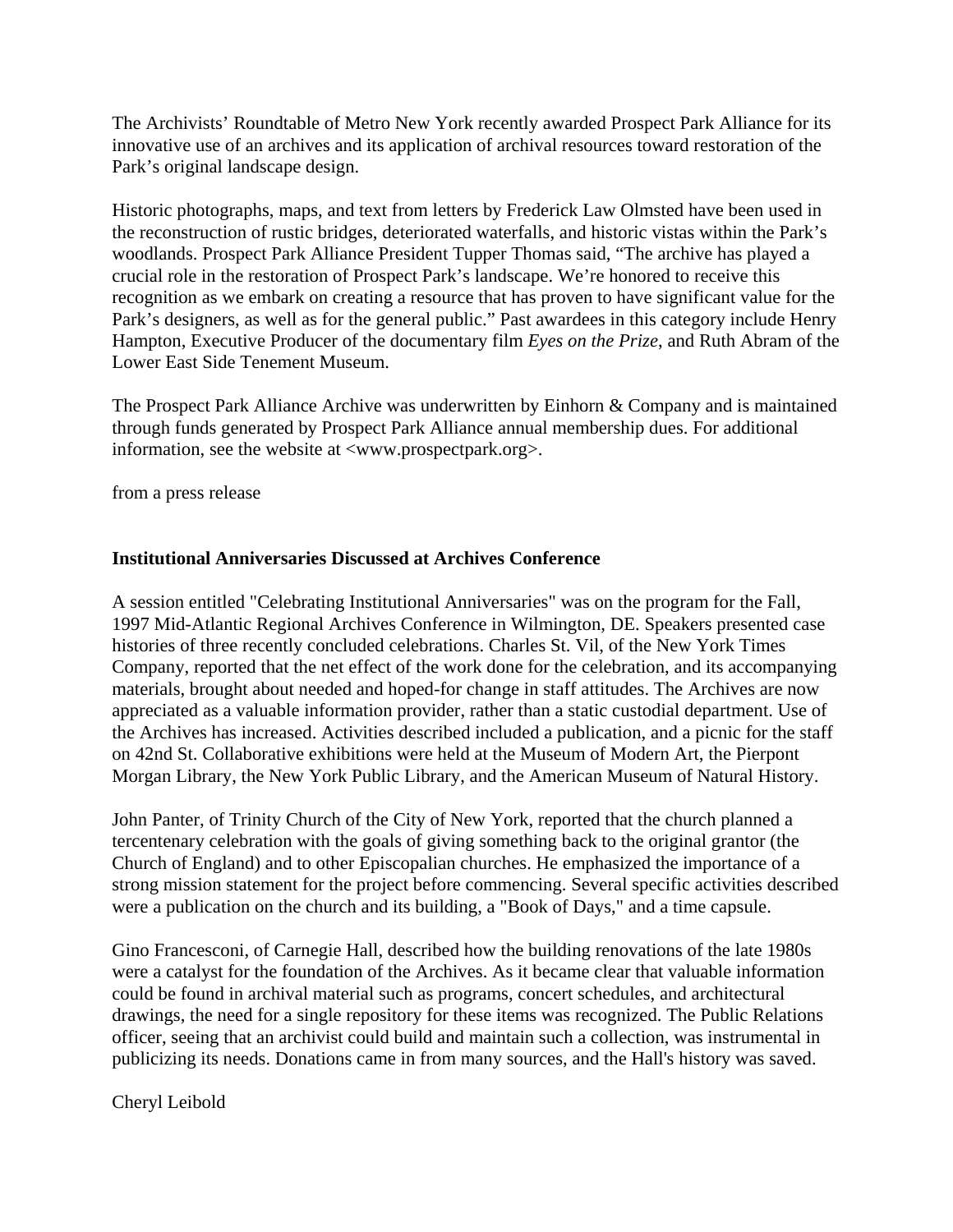The Archivists' Roundtable of Metro New York recently awarded Prospect Park Alliance for its innovative use of an archives and its application of archival resources toward restoration of the Park's original landscape design.

Historic photographs, maps, and text from letters by Frederick Law Olmsted have been used in the reconstruction of rustic bridges, deteriorated waterfalls, and historic vistas within the Park's woodlands. Prospect Park Alliance President Tupper Thomas said, "The archive has played a crucial role in the restoration of Prospect Park's landscape. We're honored to receive this recognition as we embark on creating a resource that has proven to have significant value for the Park's designers, as well as for the general public." Past awardees in this category include Henry Hampton, Executive Producer of the documentary film *Eyes on the Prize*, and Ruth Abram of the Lower East Side Tenement Museum.

The Prospect Park Alliance Archive was underwritten by Einhorn & Company and is maintained through funds generated by Prospect Park Alliance annual membership dues. For additional information, see the website at <www.prospectpark.org>.

from a press release

# **Institutional Anniversaries Discussed at Archives Conference**

A session entitled "Celebrating Institutional Anniversaries" was on the program for the Fall, 1997 Mid-Atlantic Regional Archives Conference in Wilmington, DE. Speakers presented case histories of three recently concluded celebrations. Charles St. Vil, of the New York Times Company, reported that the net effect of the work done for the celebration, and its accompanying materials, brought about needed and hoped-for change in staff attitudes. The Archives are now appreciated as a valuable information provider, rather than a static custodial department. Use of the Archives has increased. Activities described included a publication, and a picnic for the staff on 42nd St. Collaborative exhibitions were held at the Museum of Modern Art, the Pierpont Morgan Library, the New York Public Library, and the American Museum of Natural History.

John Panter, of Trinity Church of the City of New York, reported that the church planned a tercentenary celebration with the goals of giving something back to the original grantor (the Church of England) and to other Episcopalian churches. He emphasized the importance of a strong mission statement for the project before commencing. Several specific activities described were a publication on the church and its building, a "Book of Days," and a time capsule.

Gino Francesconi, of Carnegie Hall, described how the building renovations of the late 1980s were a catalyst for the foundation of the Archives. As it became clear that valuable information could be found in archival material such as programs, concert schedules, and architectural drawings, the need for a single repository for these items was recognized. The Public Relations officer, seeing that an archivist could build and maintain such a collection, was instrumental in publicizing its needs. Donations came in from many sources, and the Hall's history was saved.

Cheryl Leibold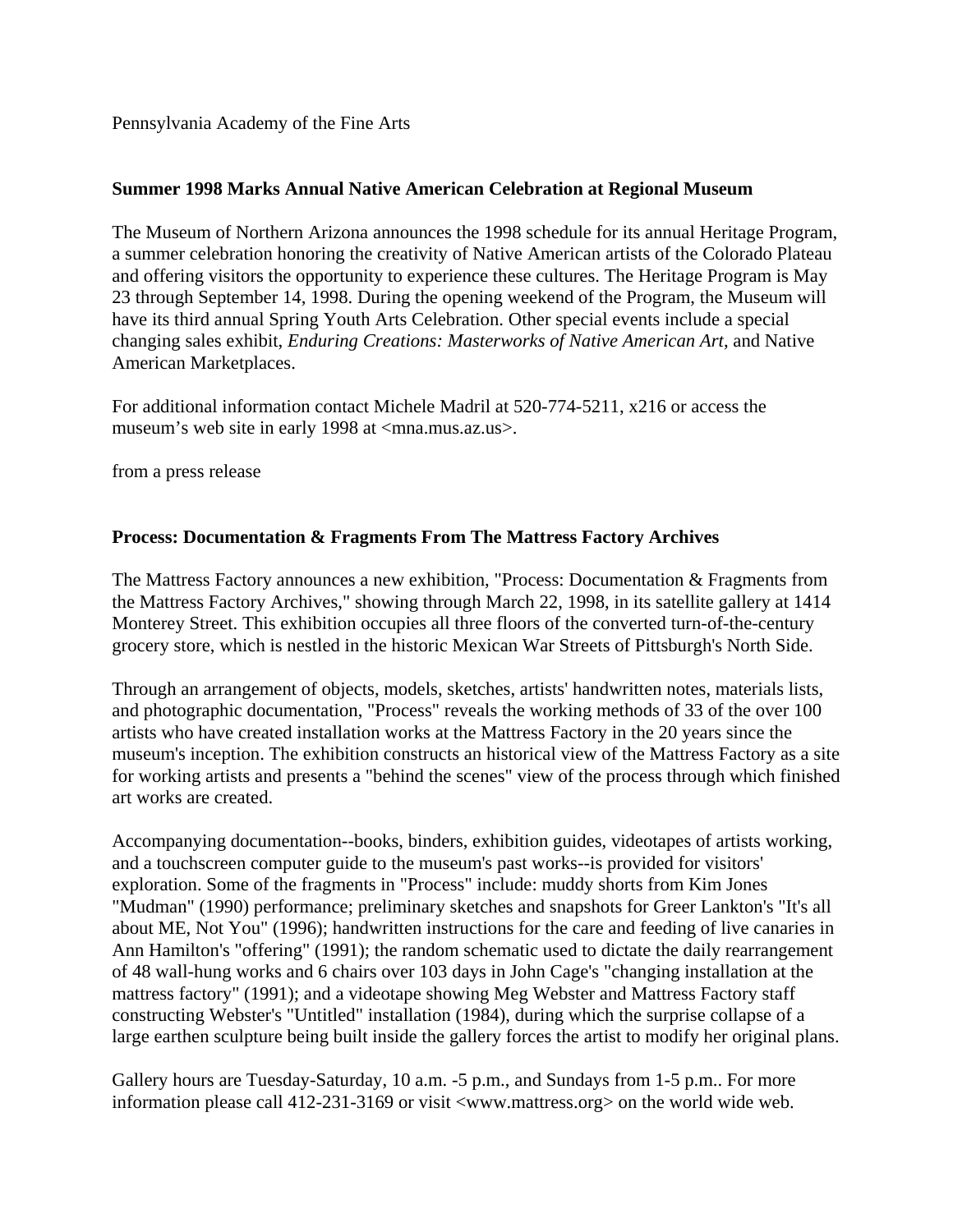Pennsylvania Academy of the Fine Arts

# **Summer 1998 Marks Annual Native American Celebration at Regional Museum**

The Museum of Northern Arizona announces the 1998 schedule for its annual Heritage Program, a summer celebration honoring the creativity of Native American artists of the Colorado Plateau and offering visitors the opportunity to experience these cultures. The Heritage Program is May 23 through September 14, 1998. During the opening weekend of the Program, the Museum will have its third annual Spring Youth Arts Celebration. Other special events include a special changing sales exhibit, *Enduring Creations: Masterworks of Native American Art*, and Native American Marketplaces.

For additional information contact Michele Madril at 520-774-5211, x216 or access the museum's web site in early 1998 at <mna.mus.az.us>.

from a press release

# **Process: Documentation & Fragments From The Mattress Factory Archives**

The Mattress Factory announces a new exhibition, "Process: Documentation & Fragments from the Mattress Factory Archives," showing through March 22, 1998, in its satellite gallery at 1414 Monterey Street. This exhibition occupies all three floors of the converted turn-of-the-century grocery store, which is nestled in the historic Mexican War Streets of Pittsburgh's North Side.

Through an arrangement of objects, models, sketches, artists' handwritten notes, materials lists, and photographic documentation, "Process" reveals the working methods of 33 of the over 100 artists who have created installation works at the Mattress Factory in the 20 years since the museum's inception. The exhibition constructs an historical view of the Mattress Factory as a site for working artists and presents a "behind the scenes" view of the process through which finished art works are created.

Accompanying documentation--books, binders, exhibition guides, videotapes of artists working, and a touchscreen computer guide to the museum's past works--is provided for visitors' exploration. Some of the fragments in "Process" include: muddy shorts from Kim Jones "Mudman" (1990) performance; preliminary sketches and snapshots for Greer Lankton's "It's all about ME, Not You" (1996); handwritten instructions for the care and feeding of live canaries in Ann Hamilton's "offering" (1991); the random schematic used to dictate the daily rearrangement of 48 wall-hung works and 6 chairs over 103 days in John Cage's "changing installation at the mattress factory" (1991); and a videotape showing Meg Webster and Mattress Factory staff constructing Webster's "Untitled" installation (1984), during which the surprise collapse of a large earthen sculpture being built inside the gallery forces the artist to modify her original plans.

Gallery hours are Tuesday-Saturday, 10 a.m. -5 p.m., and Sundays from 1-5 p.m.. For more information please call 412-231-3169 or visit <www.mattress.org> on the world wide web.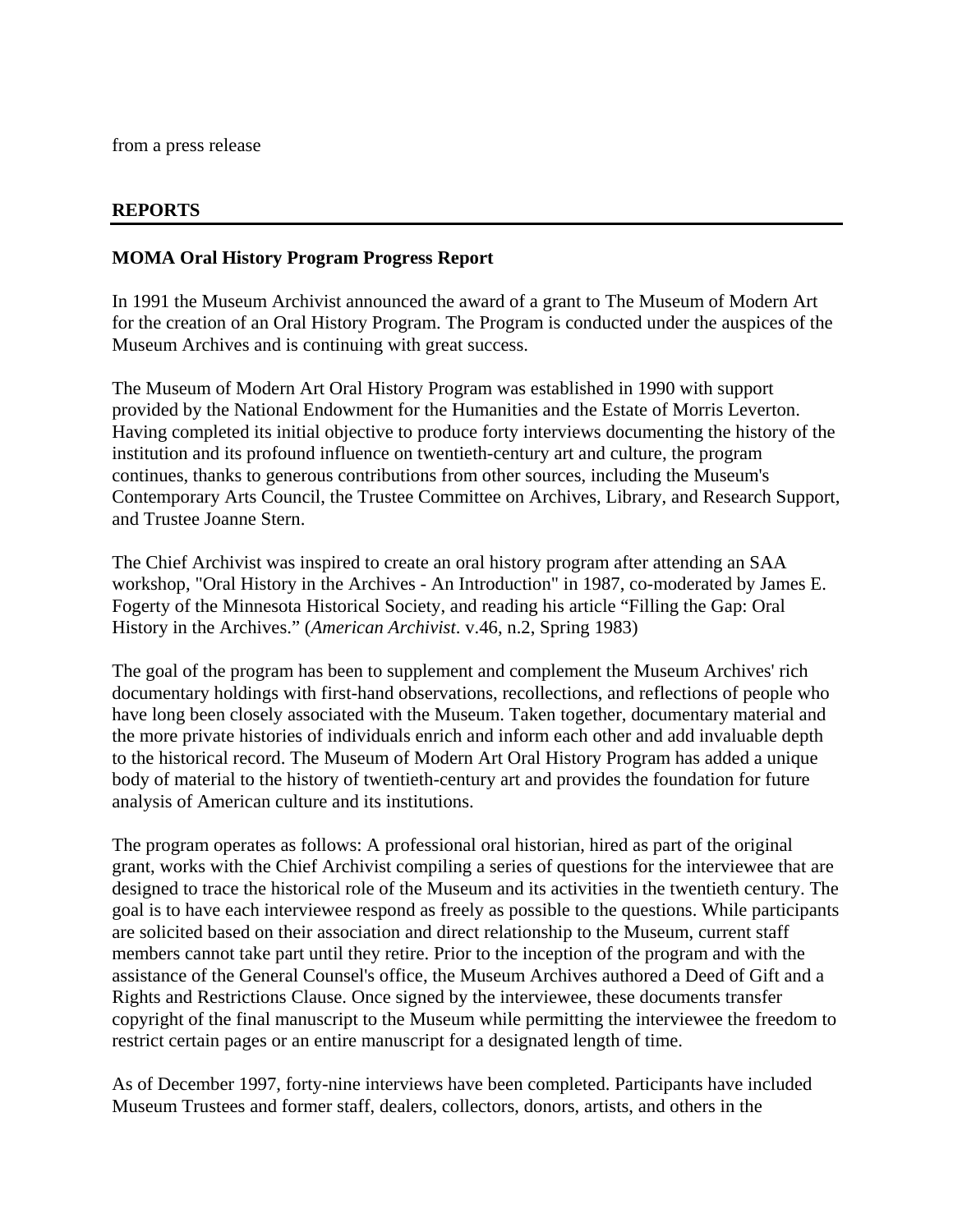from a press release

#### **REPORTS**

#### **MOMA Oral History Program Progress Report**

In 1991 the Museum Archivist announced the award of a grant to The Museum of Modern Art for the creation of an Oral History Program. The Program is conducted under the auspices of the Museum Archives and is continuing with great success.

The Museum of Modern Art Oral History Program was established in 1990 with support provided by the National Endowment for the Humanities and the Estate of Morris Leverton. Having completed its initial objective to produce forty interviews documenting the history of the institution and its profound influence on twentieth-century art and culture, the program continues, thanks to generous contributions from other sources, including the Museum's Contemporary Arts Council, the Trustee Committee on Archives, Library, and Research Support, and Trustee Joanne Stern.

The Chief Archivist was inspired to create an oral history program after attending an SAA workshop, "Oral History in the Archives - An Introduction" in 1987, co-moderated by James E. Fogerty of the Minnesota Historical Society, and reading his article "Filling the Gap: Oral History in the Archives." (*American Archivist*. v.46, n.2, Spring 1983)

The goal of the program has been to supplement and complement the Museum Archives' rich documentary holdings with first-hand observations, recollections, and reflections of people who have long been closely associated with the Museum. Taken together, documentary material and the more private histories of individuals enrich and inform each other and add invaluable depth to the historical record. The Museum of Modern Art Oral History Program has added a unique body of material to the history of twentieth-century art and provides the foundation for future analysis of American culture and its institutions.

The program operates as follows: A professional oral historian, hired as part of the original grant, works with the Chief Archivist compiling a series of questions for the interviewee that are designed to trace the historical role of the Museum and its activities in the twentieth century. The goal is to have each interviewee respond as freely as possible to the questions. While participants are solicited based on their association and direct relationship to the Museum, current staff members cannot take part until they retire. Prior to the inception of the program and with the assistance of the General Counsel's office, the Museum Archives authored a Deed of Gift and a Rights and Restrictions Clause. Once signed by the interviewee, these documents transfer copyright of the final manuscript to the Museum while permitting the interviewee the freedom to restrict certain pages or an entire manuscript for a designated length of time.

As of December 1997, forty-nine interviews have been completed. Participants have included Museum Trustees and former staff, dealers, collectors, donors, artists, and others in the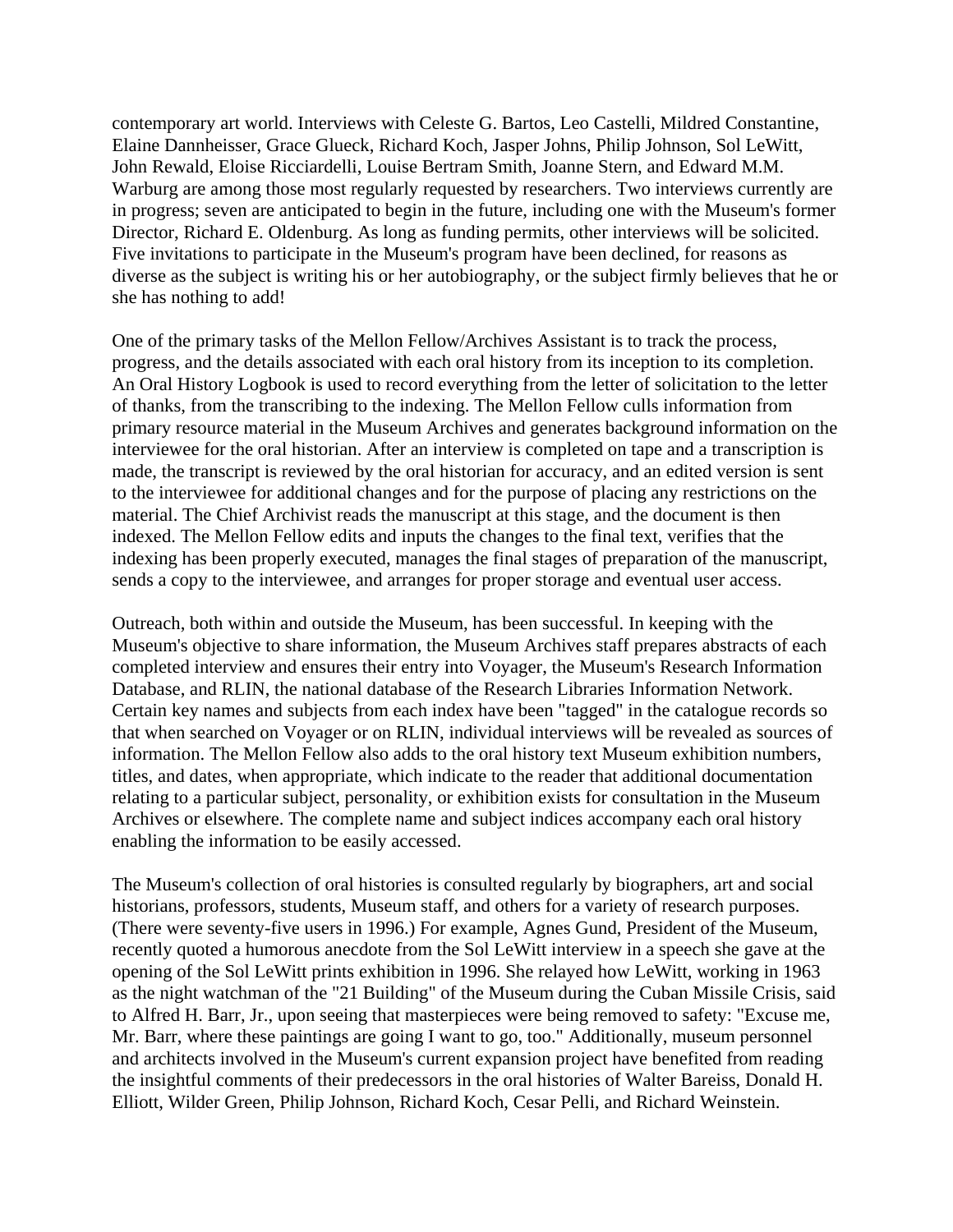contemporary art world. Interviews with Celeste G. Bartos, Leo Castelli, Mildred Constantine, Elaine Dannheisser, Grace Glueck, Richard Koch, Jasper Johns, Philip Johnson, Sol LeWitt, John Rewald, Eloise Ricciardelli, Louise Bertram Smith, Joanne Stern, and Edward M.M. Warburg are among those most regularly requested by researchers. Two interviews currently are in progress; seven are anticipated to begin in the future, including one with the Museum's former Director, Richard E. Oldenburg. As long as funding permits, other interviews will be solicited. Five invitations to participate in the Museum's program have been declined, for reasons as diverse as the subject is writing his or her autobiography, or the subject firmly believes that he or she has nothing to add!

One of the primary tasks of the Mellon Fellow/Archives Assistant is to track the process, progress, and the details associated with each oral history from its inception to its completion. An Oral History Logbook is used to record everything from the letter of solicitation to the letter of thanks, from the transcribing to the indexing. The Mellon Fellow culls information from primary resource material in the Museum Archives and generates background information on the interviewee for the oral historian. After an interview is completed on tape and a transcription is made, the transcript is reviewed by the oral historian for accuracy, and an edited version is sent to the interviewee for additional changes and for the purpose of placing any restrictions on the material. The Chief Archivist reads the manuscript at this stage, and the document is then indexed. The Mellon Fellow edits and inputs the changes to the final text, verifies that the indexing has been properly executed, manages the final stages of preparation of the manuscript, sends a copy to the interviewee, and arranges for proper storage and eventual user access.

Outreach, both within and outside the Museum, has been successful. In keeping with the Museum's objective to share information, the Museum Archives staff prepares abstracts of each completed interview and ensures their entry into Voyager, the Museum's Research Information Database, and RLIN, the national database of the Research Libraries Information Network. Certain key names and subjects from each index have been "tagged" in the catalogue records so that when searched on Voyager or on RLIN, individual interviews will be revealed as sources of information. The Mellon Fellow also adds to the oral history text Museum exhibition numbers, titles, and dates, when appropriate, which indicate to the reader that additional documentation relating to a particular subject, personality, or exhibition exists for consultation in the Museum Archives or elsewhere. The complete name and subject indices accompany each oral history enabling the information to be easily accessed.

The Museum's collection of oral histories is consulted regularly by biographers, art and social historians, professors, students, Museum staff, and others for a variety of research purposes. (There were seventy-five users in 1996.) For example, Agnes Gund, President of the Museum, recently quoted a humorous anecdote from the Sol LeWitt interview in a speech she gave at the opening of the Sol LeWitt prints exhibition in 1996. She relayed how LeWitt, working in 1963 as the night watchman of the "21 Building" of the Museum during the Cuban Missile Crisis, said to Alfred H. Barr, Jr., upon seeing that masterpieces were being removed to safety: "Excuse me, Mr. Barr, where these paintings are going I want to go, too." Additionally, museum personnel and architects involved in the Museum's current expansion project have benefited from reading the insightful comments of their predecessors in the oral histories of Walter Bareiss, Donald H. Elliott, Wilder Green, Philip Johnson, Richard Koch, Cesar Pelli, and Richard Weinstein.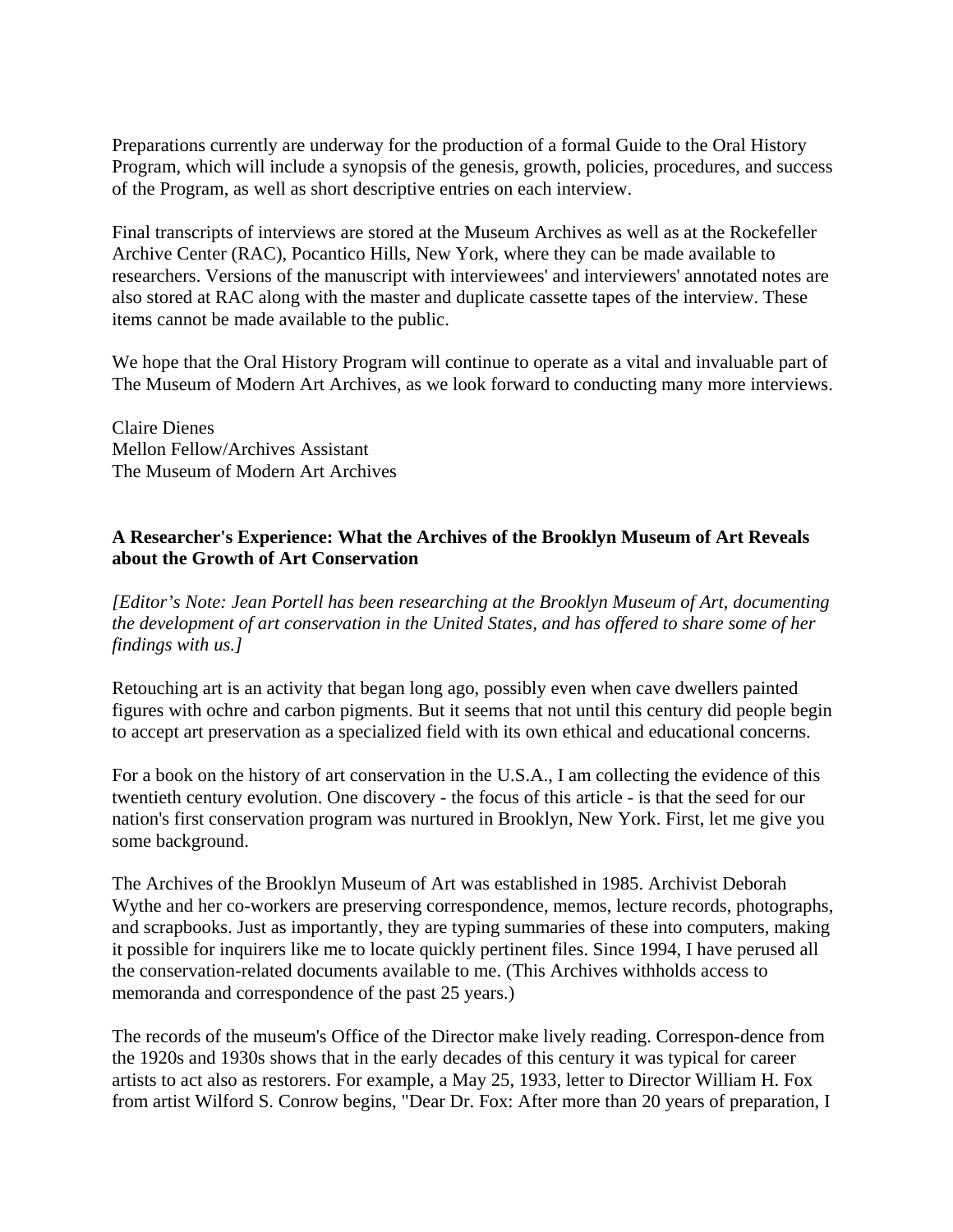Preparations currently are underway for the production of a formal Guide to the Oral History Program, which will include a synopsis of the genesis, growth, policies, procedures, and success of the Program, as well as short descriptive entries on each interview.

Final transcripts of interviews are stored at the Museum Archives as well as at the Rockefeller Archive Center (RAC), Pocantico Hills, New York, where they can be made available to researchers. Versions of the manuscript with interviewees' and interviewers' annotated notes are also stored at RAC along with the master and duplicate cassette tapes of the interview. These items cannot be made available to the public.

We hope that the Oral History Program will continue to operate as a vital and invaluable part of The Museum of Modern Art Archives, as we look forward to conducting many more interviews.

Claire Dienes Mellon Fellow/Archives Assistant The Museum of Modern Art Archives

# **A Researcher's Experience: What the Archives of the Brooklyn Museum of Art Reveals about the Growth of Art Conservation**

*[Editor's Note: Jean Portell has been researching at the Brooklyn Museum of Art, documenting the development of art conservation in the United States, and has offered to share some of her findings with us.]*

Retouching art is an activity that began long ago, possibly even when cave dwellers painted figures with ochre and carbon pigments. But it seems that not until this century did people begin to accept art preservation as a specialized field with its own ethical and educational concerns.

For a book on the history of art conservation in the U.S.A., I am collecting the evidence of this twentieth century evolution. One discovery - the focus of this article - is that the seed for our nation's first conservation program was nurtured in Brooklyn, New York. First, let me give you some background.

The Archives of the Brooklyn Museum of Art was established in 1985. Archivist Deborah Wythe and her co-workers are preserving correspondence, memos, lecture records, photographs, and scrapbooks. Just as importantly, they are typing summaries of these into computers, making it possible for inquirers like me to locate quickly pertinent files. Since 1994, I have perused all the conservation-related documents available to me. (This Archives withholds access to memoranda and correspondence of the past 25 years.)

The records of the museum's Office of the Director make lively reading. Correspon-dence from the 1920s and 1930s shows that in the early decades of this century it was typical for career artists to act also as restorers. For example, a May 25, 1933, letter to Director William H. Fox from artist Wilford S. Conrow begins, "Dear Dr. Fox: After more than 20 years of preparation, I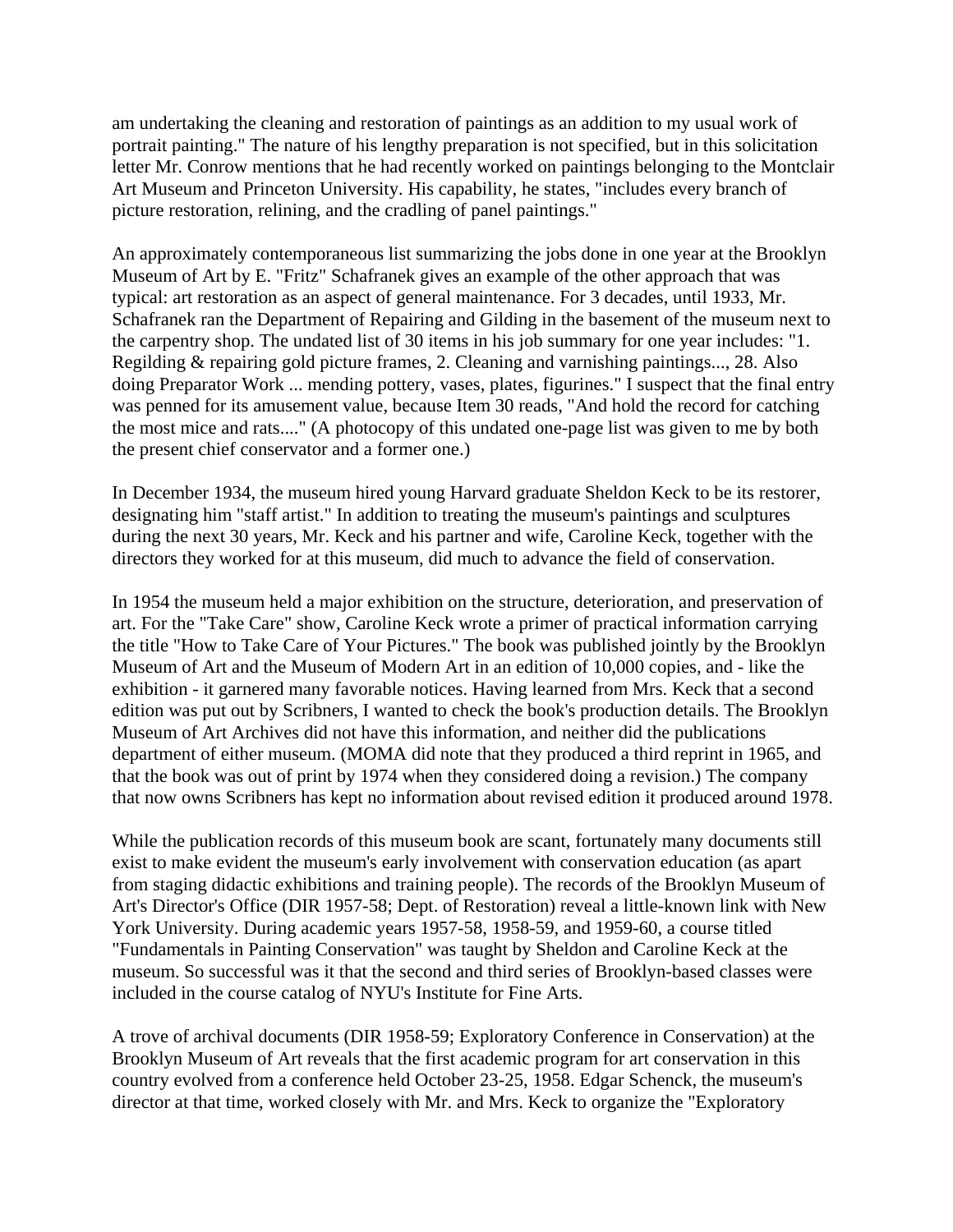am undertaking the cleaning and restoration of paintings as an addition to my usual work of portrait painting." The nature of his lengthy preparation is not specified, but in this solicitation letter Mr. Conrow mentions that he had recently worked on paintings belonging to the Montclair Art Museum and Princeton University. His capability, he states, "includes every branch of picture restoration, relining, and the cradling of panel paintings."

An approximately contemporaneous list summarizing the jobs done in one year at the Brooklyn Museum of Art by E. "Fritz" Schafranek gives an example of the other approach that was typical: art restoration as an aspect of general maintenance. For 3 decades, until 1933, Mr. Schafranek ran the Department of Repairing and Gilding in the basement of the museum next to the carpentry shop. The undated list of 30 items in his job summary for one year includes: "1. Regilding & repairing gold picture frames, 2. Cleaning and varnishing paintings..., 28. Also doing Preparator Work ... mending pottery, vases, plates, figurines." I suspect that the final entry was penned for its amusement value, because Item 30 reads, "And hold the record for catching the most mice and rats...." (A photocopy of this undated one-page list was given to me by both the present chief conservator and a former one.)

In December 1934, the museum hired young Harvard graduate Sheldon Keck to be its restorer, designating him "staff artist." In addition to treating the museum's paintings and sculptures during the next 30 years, Mr. Keck and his partner and wife, Caroline Keck, together with the directors they worked for at this museum, did much to advance the field of conservation.

In 1954 the museum held a major exhibition on the structure, deterioration, and preservation of art. For the "Take Care" show, Caroline Keck wrote a primer of practical information carrying the title "How to Take Care of Your Pictures." The book was published jointly by the Brooklyn Museum of Art and the Museum of Modern Art in an edition of 10,000 copies, and - like the exhibition - it garnered many favorable notices. Having learned from Mrs. Keck that a second edition was put out by Scribners, I wanted to check the book's production details. The Brooklyn Museum of Art Archives did not have this information, and neither did the publications department of either museum. (MOMA did note that they produced a third reprint in 1965, and that the book was out of print by 1974 when they considered doing a revision.) The company that now owns Scribners has kept no information about revised edition it produced around 1978.

While the publication records of this museum book are scant, fortunately many documents still exist to make evident the museum's early involvement with conservation education (as apart from staging didactic exhibitions and training people). The records of the Brooklyn Museum of Art's Director's Office (DIR 1957-58; Dept. of Restoration) reveal a little-known link with New York University. During academic years 1957-58, 1958-59, and 1959-60, a course titled "Fundamentals in Painting Conservation" was taught by Sheldon and Caroline Keck at the museum. So successful was it that the second and third series of Brooklyn-based classes were included in the course catalog of NYU's Institute for Fine Arts.

A trove of archival documents (DIR 1958-59; Exploratory Conference in Conservation) at the Brooklyn Museum of Art reveals that the first academic program for art conservation in this country evolved from a conference held October 23-25, 1958. Edgar Schenck, the museum's director at that time, worked closely with Mr. and Mrs. Keck to organize the "Exploratory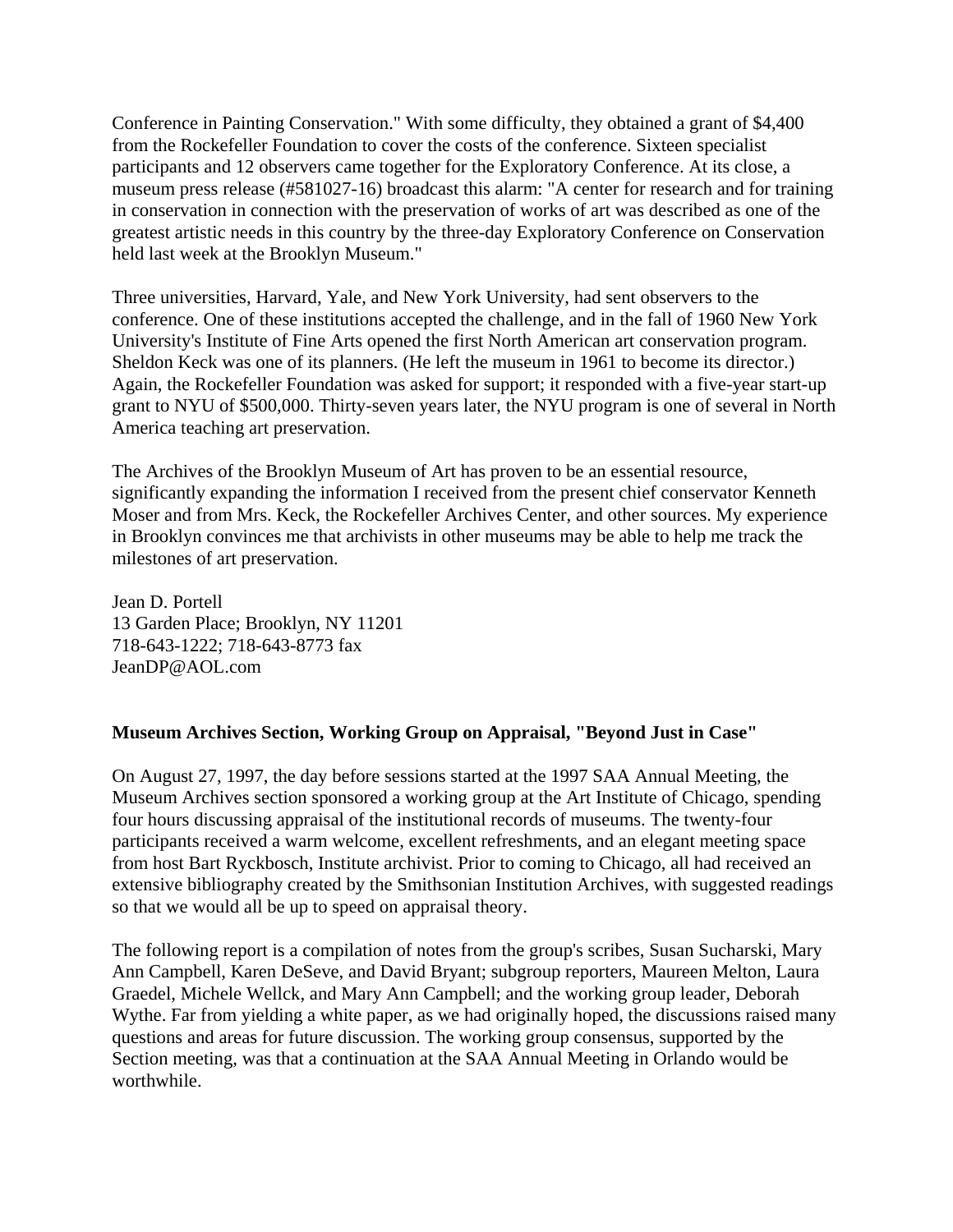Conference in Painting Conservation." With some difficulty, they obtained a grant of \$4,400 from the Rockefeller Foundation to cover the costs of the conference. Sixteen specialist participants and 12 observers came together for the Exploratory Conference. At its close, a museum press release (#581027-16) broadcast this alarm: "A center for research and for training in conservation in connection with the preservation of works of art was described as one of the greatest artistic needs in this country by the three-day Exploratory Conference on Conservation held last week at the Brooklyn Museum."

Three universities, Harvard, Yale, and New York University, had sent observers to the conference. One of these institutions accepted the challenge, and in the fall of 1960 New York University's Institute of Fine Arts opened the first North American art conservation program. Sheldon Keck was one of its planners. (He left the museum in 1961 to become its director.) Again, the Rockefeller Foundation was asked for support; it responded with a five-year start-up grant to NYU of \$500,000. Thirty-seven years later, the NYU program is one of several in North America teaching art preservation.

The Archives of the Brooklyn Museum of Art has proven to be an essential resource, significantly expanding the information I received from the present chief conservator Kenneth Moser and from Mrs. Keck, the Rockefeller Archives Center, and other sources. My experience in Brooklyn convinces me that archivists in other museums may be able to help me track the milestones of art preservation.

Jean D. Portell 13 Garden Place; Brooklyn, NY 11201 718-643-1222; 718-643-8773 fax JeanDP@AOL.com

# **Museum Archives Section, Working Group on Appraisal, "Beyond Just in Case"**

On August 27, 1997, the day before sessions started at the 1997 SAA Annual Meeting, the Museum Archives section sponsored a working group at the Art Institute of Chicago, spending four hours discussing appraisal of the institutional records of museums. The twenty-four participants received a warm welcome, excellent refreshments, and an elegant meeting space from host Bart Ryckbosch, Institute archivist. Prior to coming to Chicago, all had received an extensive bibliography created by the Smithsonian Institution Archives, with suggested readings so that we would all be up to speed on appraisal theory.

The following report is a compilation of notes from the group's scribes, Susan Sucharski, Mary Ann Campbell, Karen DeSeve, and David Bryant; subgroup reporters, Maureen Melton, Laura Graedel, Michele Wellck, and Mary Ann Campbell; and the working group leader, Deborah Wythe. Far from yielding a white paper, as we had originally hoped, the discussions raised many questions and areas for future discussion. The working group consensus, supported by the Section meeting, was that a continuation at the SAA Annual Meeting in Orlando would be worthwhile.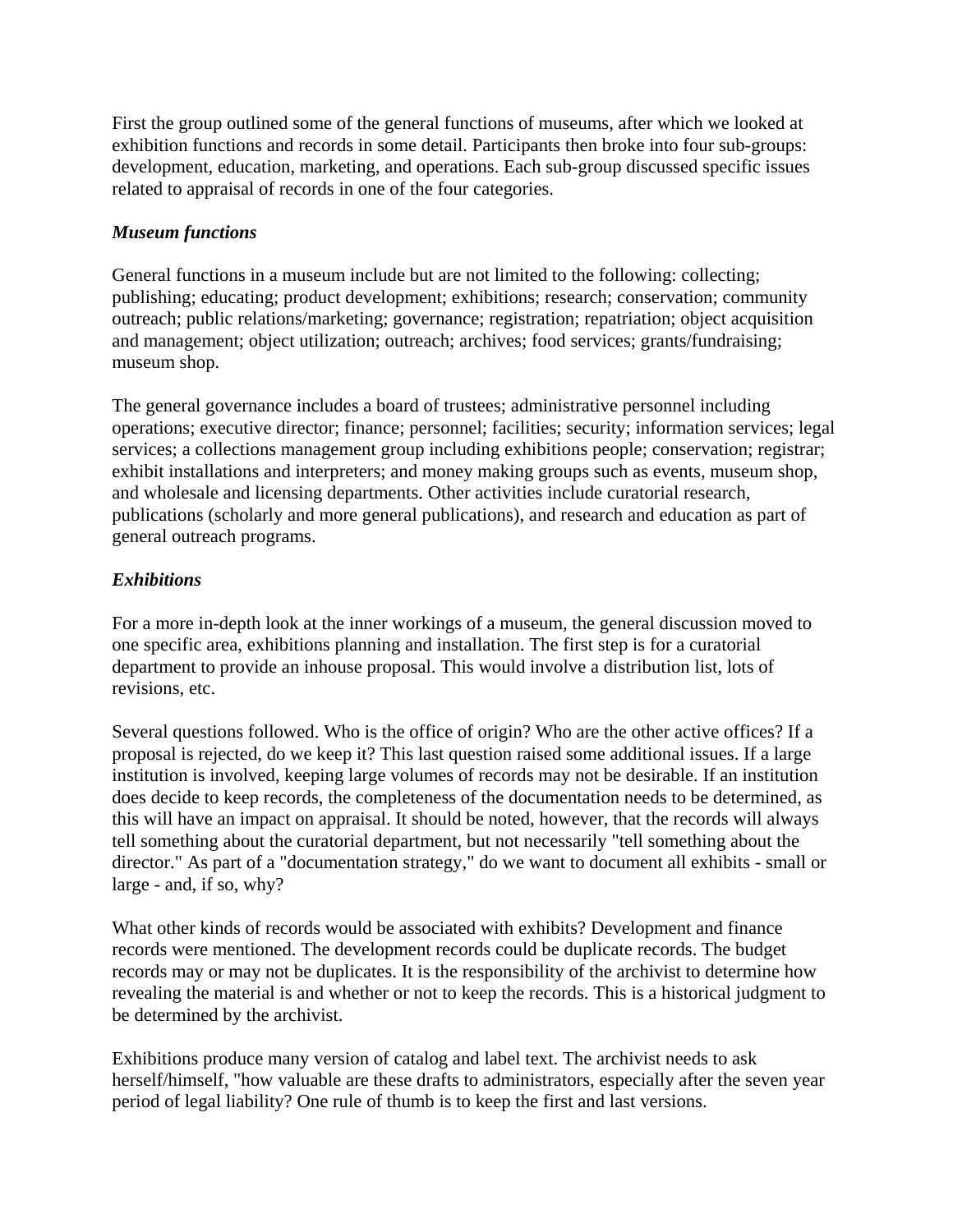First the group outlined some of the general functions of museums, after which we looked at exhibition functions and records in some detail. Participants then broke into four sub-groups: development, education, marketing, and operations. Each sub-group discussed specific issues related to appraisal of records in one of the four categories.

# *Museum functions*

General functions in a museum include but are not limited to the following: collecting; publishing; educating; product development; exhibitions; research; conservation; community outreach; public relations/marketing; governance; registration; repatriation; object acquisition and management; object utilization; outreach; archives; food services; grants/fundraising; museum shop.

The general governance includes a board of trustees; administrative personnel including operations; executive director; finance; personnel; facilities; security; information services; legal services; a collections management group including exhibitions people; conservation; registrar; exhibit installations and interpreters; and money making groups such as events, museum shop, and wholesale and licensing departments. Other activities include curatorial research, publications (scholarly and more general publications), and research and education as part of general outreach programs.

# *Exhibitions*

For a more in-depth look at the inner workings of a museum, the general discussion moved to one specific area, exhibitions planning and installation. The first step is for a curatorial department to provide an inhouse proposal. This would involve a distribution list, lots of revisions, etc.

Several questions followed. Who is the office of origin? Who are the other active offices? If a proposal is rejected, do we keep it? This last question raised some additional issues. If a large institution is involved, keeping large volumes of records may not be desirable. If an institution does decide to keep records, the completeness of the documentation needs to be determined, as this will have an impact on appraisal. It should be noted, however, that the records will always tell something about the curatorial department, but not necessarily "tell something about the director." As part of a "documentation strategy," do we want to document all exhibits - small or large - and, if so, why?

What other kinds of records would be associated with exhibits? Development and finance records were mentioned. The development records could be duplicate records. The budget records may or may not be duplicates. It is the responsibility of the archivist to determine how revealing the material is and whether or not to keep the records. This is a historical judgment to be determined by the archivist.

Exhibitions produce many version of catalog and label text. The archivist needs to ask herself/himself, "how valuable are these drafts to administrators, especially after the seven year period of legal liability? One rule of thumb is to keep the first and last versions.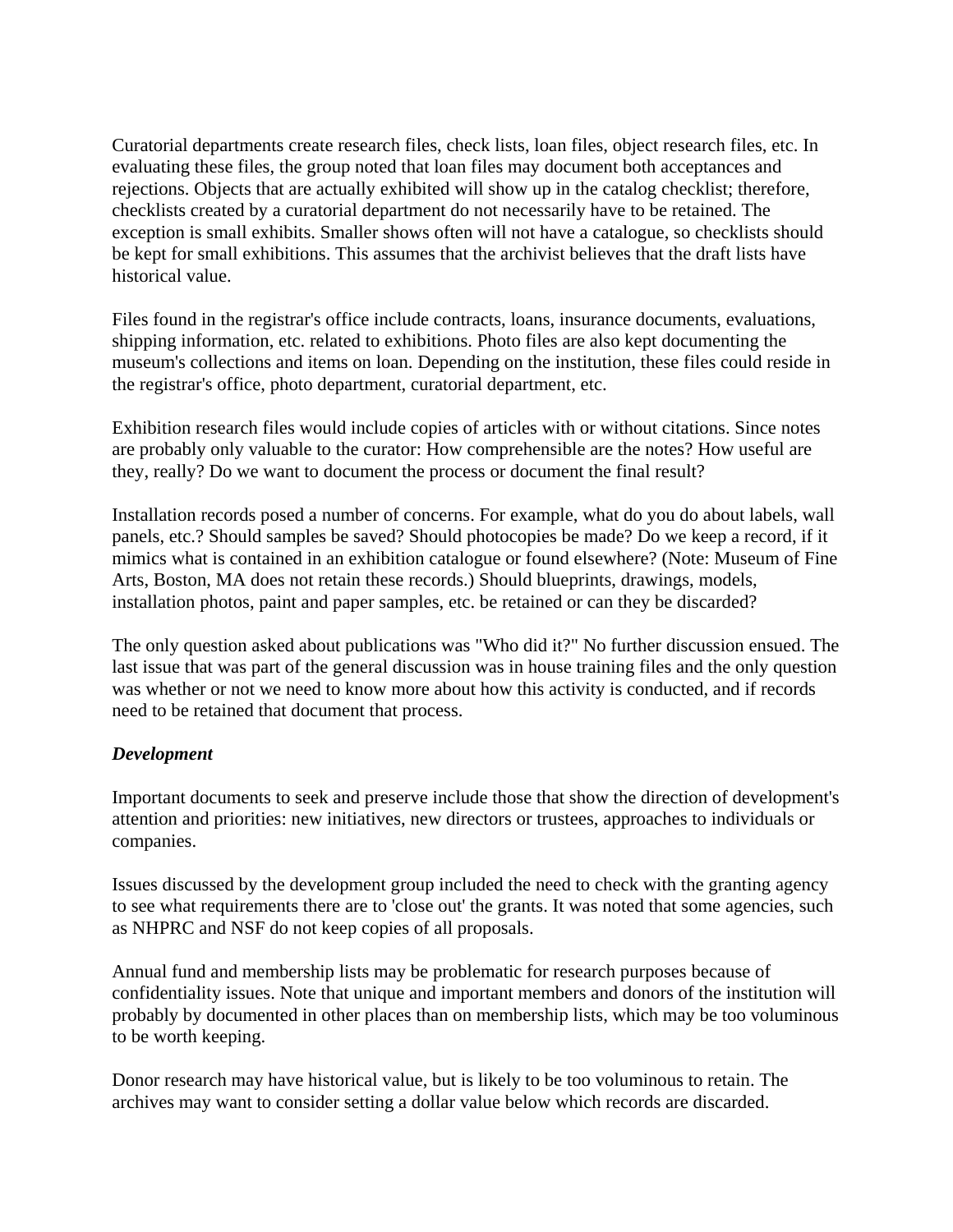Curatorial departments create research files, check lists, loan files, object research files, etc. In evaluating these files, the group noted that loan files may document both acceptances and rejections. Objects that are actually exhibited will show up in the catalog checklist; therefore, checklists created by a curatorial department do not necessarily have to be retained. The exception is small exhibits. Smaller shows often will not have a catalogue, so checklists should be kept for small exhibitions. This assumes that the archivist believes that the draft lists have historical value.

Files found in the registrar's office include contracts, loans, insurance documents, evaluations, shipping information, etc. related to exhibitions. Photo files are also kept documenting the museum's collections and items on loan. Depending on the institution, these files could reside in the registrar's office, photo department, curatorial department, etc.

Exhibition research files would include copies of articles with or without citations. Since notes are probably only valuable to the curator: How comprehensible are the notes? How useful are they, really? Do we want to document the process or document the final result?

Installation records posed a number of concerns. For example, what do you do about labels, wall panels, etc.? Should samples be saved? Should photocopies be made? Do we keep a record, if it mimics what is contained in an exhibition catalogue or found elsewhere? (Note: Museum of Fine Arts, Boston, MA does not retain these records.) Should blueprints, drawings, models, installation photos, paint and paper samples, etc. be retained or can they be discarded?

The only question asked about publications was "Who did it?" No further discussion ensued. The last issue that was part of the general discussion was in house training files and the only question was whether or not we need to know more about how this activity is conducted, and if records need to be retained that document that process.

# *Development*

Important documents to seek and preserve include those that show the direction of development's attention and priorities: new initiatives, new directors or trustees, approaches to individuals or companies.

Issues discussed by the development group included the need to check with the granting agency to see what requirements there are to 'close out' the grants. It was noted that some agencies, such as NHPRC and NSF do not keep copies of all proposals.

Annual fund and membership lists may be problematic for research purposes because of confidentiality issues. Note that unique and important members and donors of the institution will probably by documented in other places than on membership lists, which may be too voluminous to be worth keeping.

Donor research may have historical value, but is likely to be too voluminous to retain. The archives may want to consider setting a dollar value below which records are discarded.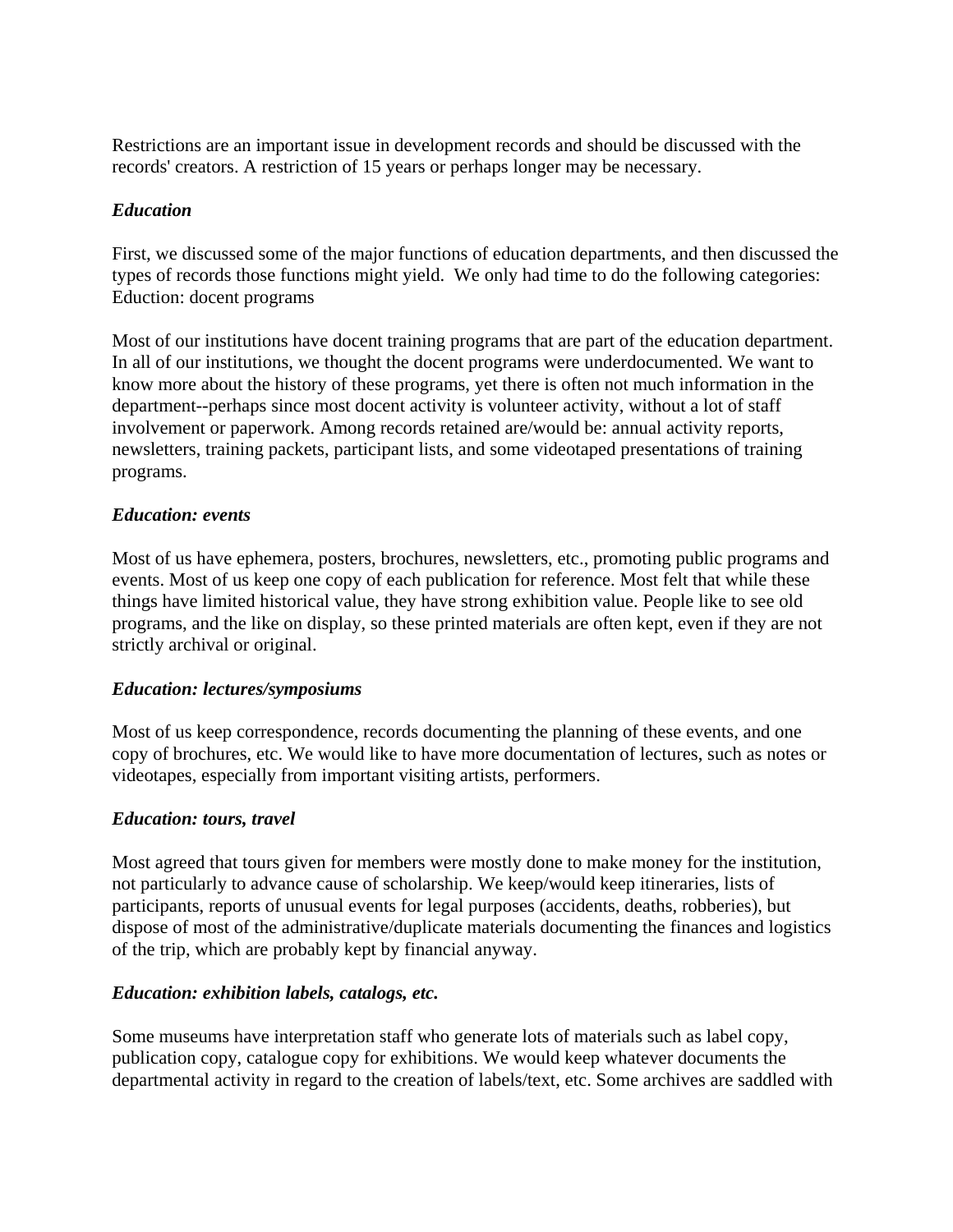Restrictions are an important issue in development records and should be discussed with the records' creators. A restriction of 15 years or perhaps longer may be necessary.

# *Education*

First, we discussed some of the major functions of education departments, and then discussed the types of records those functions might yield. We only had time to do the following categories: Eduction: docent programs

Most of our institutions have docent training programs that are part of the education department. In all of our institutions, we thought the docent programs were underdocumented. We want to know more about the history of these programs, yet there is often not much information in the department--perhaps since most docent activity is volunteer activity, without a lot of staff involvement or paperwork. Among records retained are/would be: annual activity reports, newsletters, training packets, participant lists, and some videotaped presentations of training programs.

# *Education: events*

Most of us have ephemera, posters, brochures, newsletters, etc., promoting public programs and events. Most of us keep one copy of each publication for reference. Most felt that while these things have limited historical value, they have strong exhibition value. People like to see old programs, and the like on display, so these printed materials are often kept, even if they are not strictly archival or original.

# *Education: lectures/symposiums*

Most of us keep correspondence, records documenting the planning of these events, and one copy of brochures, etc. We would like to have more documentation of lectures, such as notes or videotapes, especially from important visiting artists, performers.

# *Education: tours, travel*

Most agreed that tours given for members were mostly done to make money for the institution, not particularly to advance cause of scholarship. We keep/would keep itineraries, lists of participants, reports of unusual events for legal purposes (accidents, deaths, robberies), but dispose of most of the administrative/duplicate materials documenting the finances and logistics of the trip, which are probably kept by financial anyway.

#### *Education: exhibition labels, catalogs, etc.*

Some museums have interpretation staff who generate lots of materials such as label copy, publication copy, catalogue copy for exhibitions. We would keep whatever documents the departmental activity in regard to the creation of labels/text, etc. Some archives are saddled with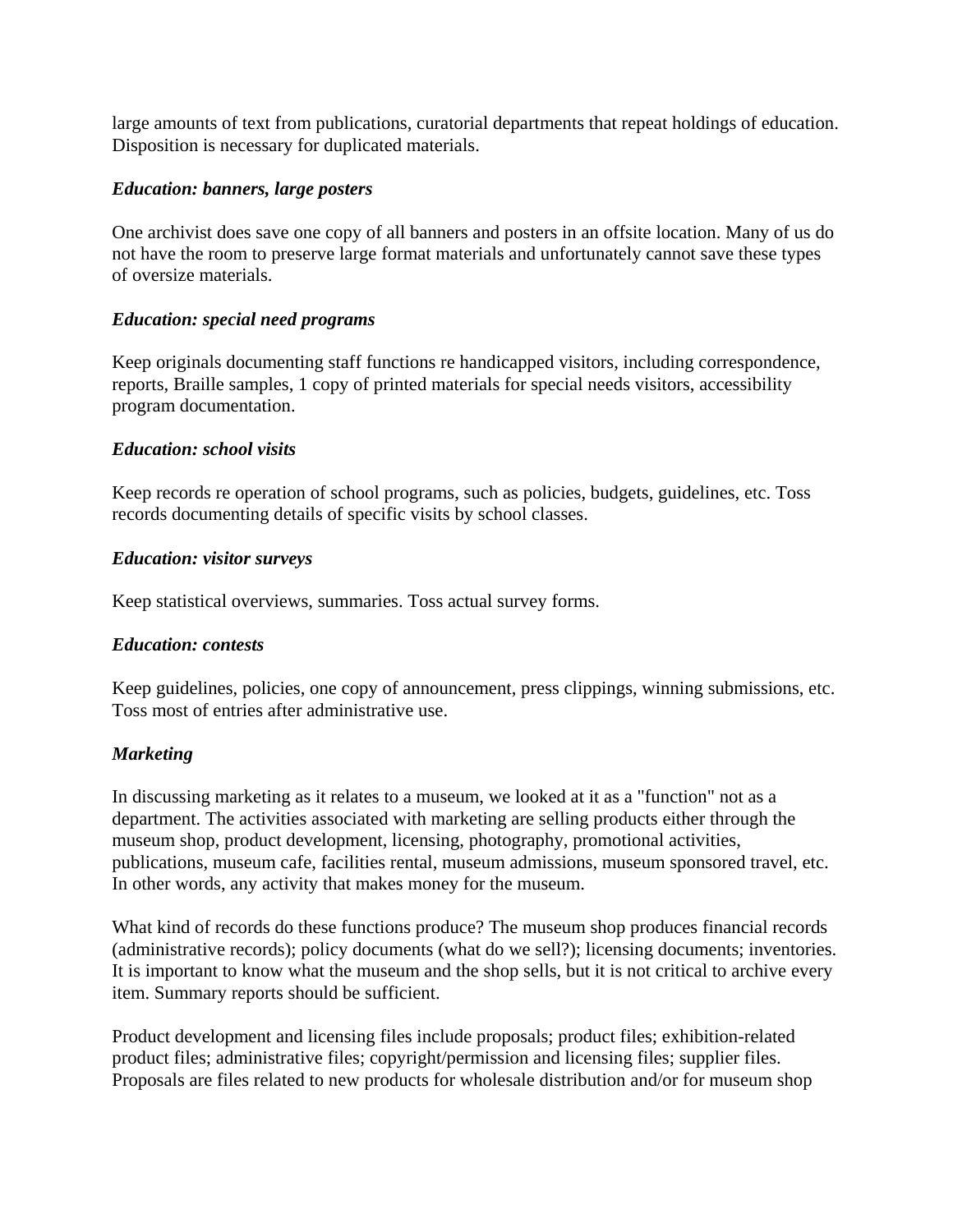large amounts of text from publications, curatorial departments that repeat holdings of education. Disposition is necessary for duplicated materials.

# *Education: banners, large posters*

One archivist does save one copy of all banners and posters in an offsite location. Many of us do not have the room to preserve large format materials and unfortunately cannot save these types of oversize materials.

# *Education: special need programs*

Keep originals documenting staff functions re handicapped visitors, including correspondence, reports, Braille samples, 1 copy of printed materials for special needs visitors, accessibility program documentation.

# *Education: school visits*

Keep records re operation of school programs, such as policies, budgets, guidelines, etc. Toss records documenting details of specific visits by school classes.

#### *Education: visitor surveys*

Keep statistical overviews, summaries. Toss actual survey forms.

#### *Education: contests*

Keep guidelines, policies, one copy of announcement, press clippings, winning submissions, etc. Toss most of entries after administrative use.

# *Marketing*

In discussing marketing as it relates to a museum, we looked at it as a "function" not as a department. The activities associated with marketing are selling products either through the museum shop, product development, licensing, photography, promotional activities, publications, museum cafe, facilities rental, museum admissions, museum sponsored travel, etc. In other words, any activity that makes money for the museum.

What kind of records do these functions produce? The museum shop produces financial records (administrative records); policy documents (what do we sell?); licensing documents; inventories. It is important to know what the museum and the shop sells, but it is not critical to archive every item. Summary reports should be sufficient.

Product development and licensing files include proposals; product files; exhibition-related product files; administrative files; copyright/permission and licensing files; supplier files. Proposals are files related to new products for wholesale distribution and/or for museum shop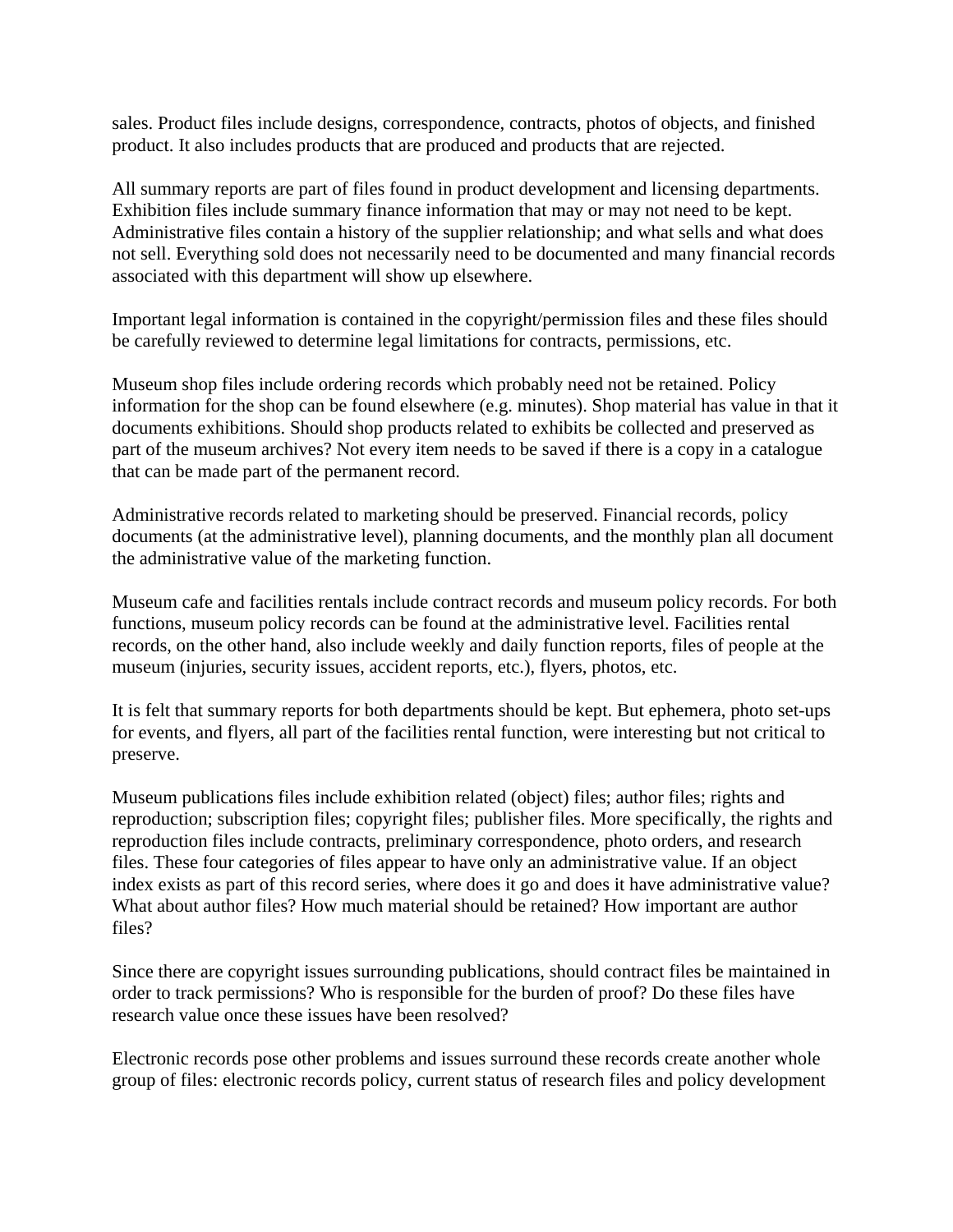sales. Product files include designs, correspondence, contracts, photos of objects, and finished product. It also includes products that are produced and products that are rejected.

All summary reports are part of files found in product development and licensing departments. Exhibition files include summary finance information that may or may not need to be kept. Administrative files contain a history of the supplier relationship; and what sells and what does not sell. Everything sold does not necessarily need to be documented and many financial records associated with this department will show up elsewhere.

Important legal information is contained in the copyright/permission files and these files should be carefully reviewed to determine legal limitations for contracts, permissions, etc.

Museum shop files include ordering records which probably need not be retained. Policy information for the shop can be found elsewhere (e.g. minutes). Shop material has value in that it documents exhibitions. Should shop products related to exhibits be collected and preserved as part of the museum archives? Not every item needs to be saved if there is a copy in a catalogue that can be made part of the permanent record.

Administrative records related to marketing should be preserved. Financial records, policy documents (at the administrative level), planning documents, and the monthly plan all document the administrative value of the marketing function.

Museum cafe and facilities rentals include contract records and museum policy records. For both functions, museum policy records can be found at the administrative level. Facilities rental records, on the other hand, also include weekly and daily function reports, files of people at the museum (injuries, security issues, accident reports, etc.), flyers, photos, etc.

It is felt that summary reports for both departments should be kept. But ephemera, photo set-ups for events, and flyers, all part of the facilities rental function, were interesting but not critical to preserve.

Museum publications files include exhibition related (object) files; author files; rights and reproduction; subscription files; copyright files; publisher files. More specifically, the rights and reproduction files include contracts, preliminary correspondence, photo orders, and research files. These four categories of files appear to have only an administrative value. If an object index exists as part of this record series, where does it go and does it have administrative value? What about author files? How much material should be retained? How important are author files?

Since there are copyright issues surrounding publications, should contract files be maintained in order to track permissions? Who is responsible for the burden of proof? Do these files have research value once these issues have been resolved?

Electronic records pose other problems and issues surround these records create another whole group of files: electronic records policy, current status of research files and policy development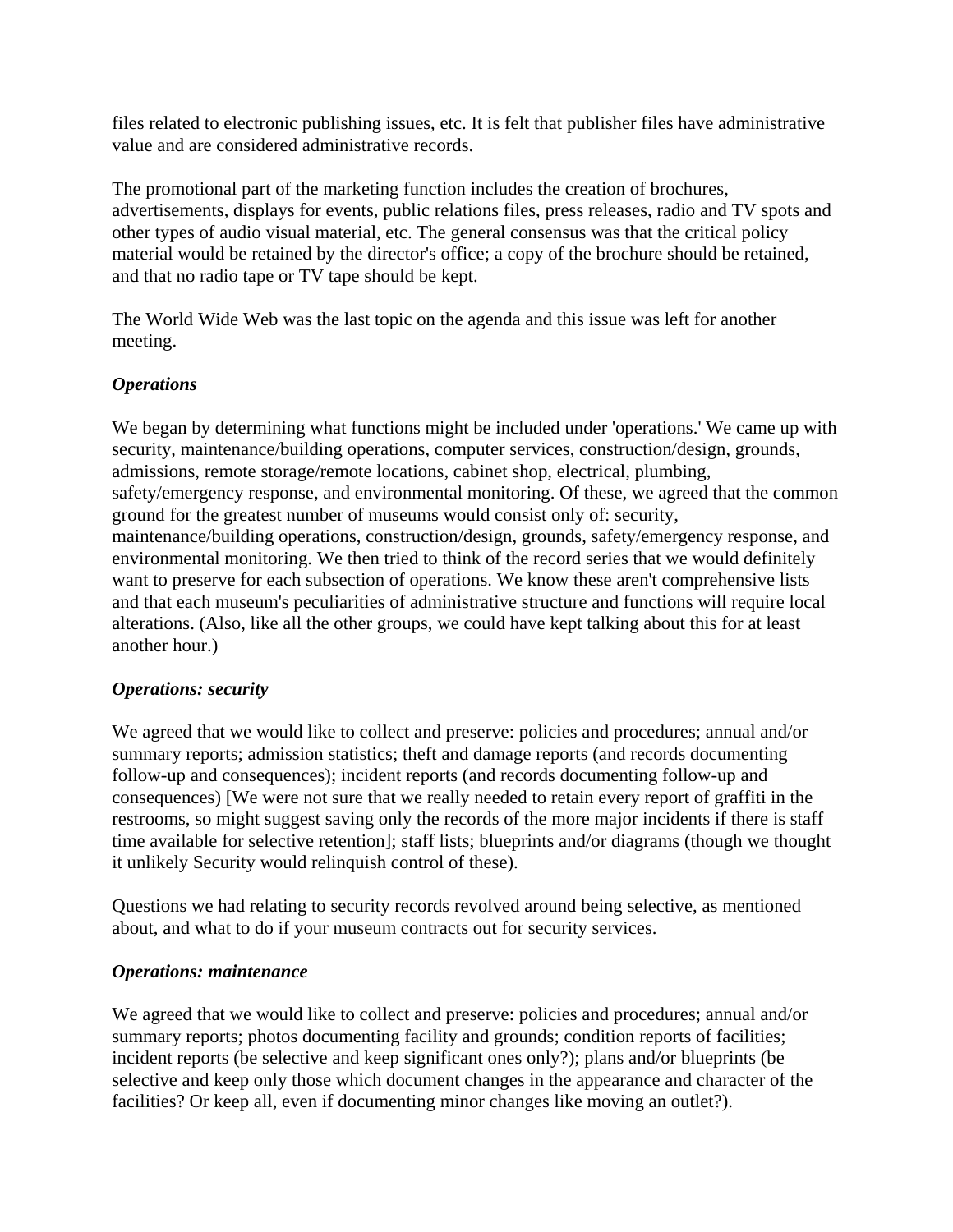files related to electronic publishing issues, etc. It is felt that publisher files have administrative value and are considered administrative records.

The promotional part of the marketing function includes the creation of brochures, advertisements, displays for events, public relations files, press releases, radio and TV spots and other types of audio visual material, etc. The general consensus was that the critical policy material would be retained by the director's office; a copy of the brochure should be retained, and that no radio tape or TV tape should be kept.

The World Wide Web was the last topic on the agenda and this issue was left for another meeting.

# *Operations*

We began by determining what functions might be included under 'operations.' We came up with security, maintenance/building operations, computer services, construction/design, grounds, admissions, remote storage/remote locations, cabinet shop, electrical, plumbing, safety/emergency response, and environmental monitoring. Of these, we agreed that the common ground for the greatest number of museums would consist only of: security, maintenance/building operations, construction/design, grounds, safety/emergency response, and environmental monitoring. We then tried to think of the record series that we would definitely want to preserve for each subsection of operations. We know these aren't comprehensive lists and that each museum's peculiarities of administrative structure and functions will require local alterations. (Also, like all the other groups, we could have kept talking about this for at least another hour.)

#### *Operations: security*

We agreed that we would like to collect and preserve: policies and procedures; annual and/or summary reports; admission statistics; theft and damage reports (and records documenting follow-up and consequences); incident reports (and records documenting follow-up and consequences) [We were not sure that we really needed to retain every report of graffiti in the restrooms, so might suggest saving only the records of the more major incidents if there is staff time available for selective retention]; staff lists; blueprints and/or diagrams (though we thought it unlikely Security would relinquish control of these).

Questions we had relating to security records revolved around being selective, as mentioned about, and what to do if your museum contracts out for security services.

#### *Operations: maintenance*

We agreed that we would like to collect and preserve: policies and procedures; annual and/or summary reports; photos documenting facility and grounds; condition reports of facilities; incident reports (be selective and keep significant ones only?); plans and/or blueprints (be selective and keep only those which document changes in the appearance and character of the facilities? Or keep all, even if documenting minor changes like moving an outlet?).